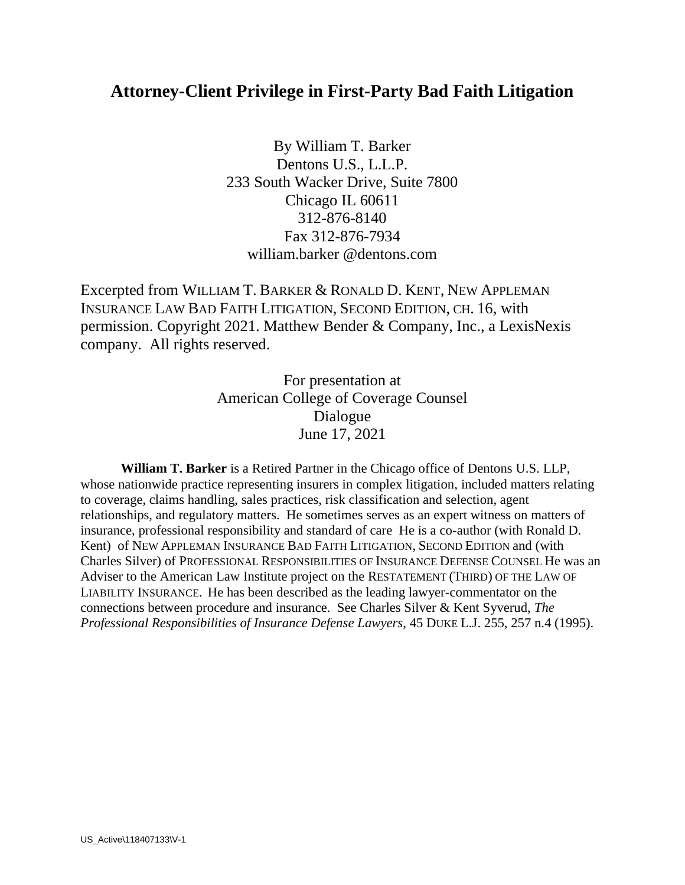# **Attorney-Client Privilege in First-Party Bad Faith Litigation**

By William T. Barker Dentons U.S., L.L.P. 233 South Wacker Drive, Suite 7800 Chicago IL 60611 312-876-8140 Fax 312-876-7934 william.barker @dentons.com

Excerpted from WILLIAM T. BARKER & RONALD D. KENT, NEW APPLEMAN INSURANCE LAW BAD FAITH LITIGATION, SECOND EDITION, CH. 16, with permission. Copyright 2021. Matthew Bender & Company, Inc., a LexisNexis company. All rights reserved.

> For presentation at American College of Coverage Counsel Dialogue June 17, 2021

**William T. Barker** is a Retired Partner in the Chicago office of Dentons U.S. LLP, whose nationwide practice representing insurers in complex litigation, included matters relating to coverage, claims handling, sales practices, risk classification and selection, agent relationships, and regulatory matters. He sometimes serves as an expert witness on matters of insurance, professional responsibility and standard of care He is a co-author (with Ronald D. Kent) of NEW APPLEMAN INSURANCE BAD FAITH LITIGATION, SECOND EDITION and (with Charles Silver) of PROFESSIONAL RESPONSIBILITIES OF INSURANCE DEFENSE COUNSEL He was an Adviser to the American Law Institute project on the RESTATEMENT (THIRD) OF THE LAW OF LIABILITY INSURANCE. He has been described as the leading lawyer-commentator on the connections between procedure and insurance. See Charles Silver & Kent Syverud, *The Professional Responsibilities of Insurance Defense Lawyers*, 45 DUKE L.J. 255, 257 n.4 (1995).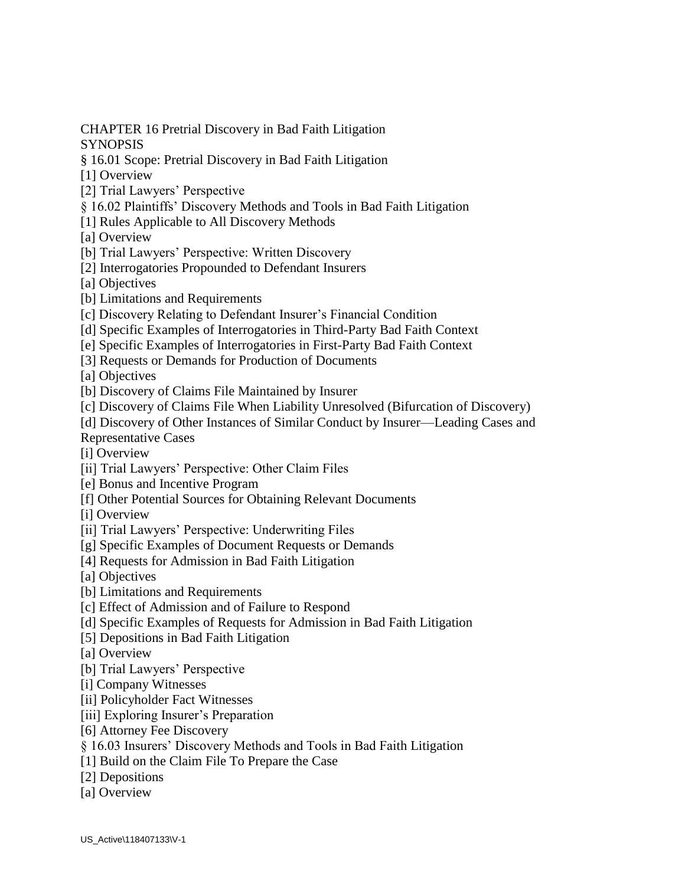CHAPTER 16 Pretrial Discovery in Bad Faith Litigation

**SYNOPSIS** 

§ 16.01 Scope: Pretrial Discovery in Bad Faith Litigation

[1] Overview

- [2] Trial Lawyers' Perspective
- § 16.02 Plaintiffs' Discovery Methods and Tools in Bad Faith Litigation
- [1] Rules Applicable to All Discovery Methods

[a] Overview

- [b] Trial Lawyers' Perspective: Written Discovery
- [2] Interrogatories Propounded to Defendant Insurers
- [a] Objectives
- [b] Limitations and Requirements
- [c] Discovery Relating to Defendant Insurer's Financial Condition
- [d] Specific Examples of Interrogatories in Third-Party Bad Faith Context
- [e] Specific Examples of Interrogatories in First-Party Bad Faith Context
- [3] Requests or Demands for Production of Documents

[a] Objectives

- [b] Discovery of Claims File Maintained by Insurer
- [c] Discovery of Claims File When Liability Unresolved (Bifurcation of Discovery)
- [d] Discovery of Other Instances of Similar Conduct by Insurer—Leading Cases and Representative Cases
- [i] Overview
- [ii] Trial Lawyers' Perspective: Other Claim Files
- [e] Bonus and Incentive Program
- [f] Other Potential Sources for Obtaining Relevant Documents
- [i] Overview
- [ii] Trial Lawyers' Perspective: Underwriting Files
- [g] Specific Examples of Document Requests or Demands
- [4] Requests for Admission in Bad Faith Litigation
- [a] Objectives
- [b] Limitations and Requirements
- [c] Effect of Admission and of Failure to Respond
- [d] Specific Examples of Requests for Admission in Bad Faith Litigation
- [5] Depositions in Bad Faith Litigation
- [a] Overview
- [b] Trial Lawyers' Perspective
- [i] Company Witnesses
- [ii] Policyholder Fact Witnesses
- [iii] Exploring Insurer's Preparation
- [6] Attorney Fee Discovery
- § 16.03 Insurers' Discovery Methods and Tools in Bad Faith Litigation
- [1] Build on the Claim File To Prepare the Case
- [2] Depositions
- [a] Overview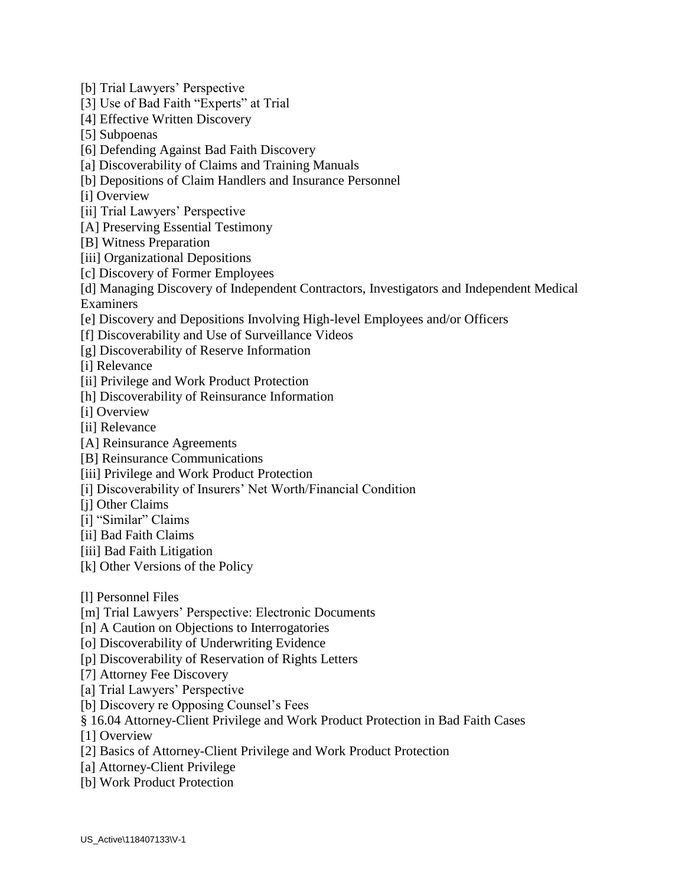[b] Trial Lawyers' Perspective

[3] Use of Bad Faith "Experts" at Trial

[4] Effective Written Discovery

[5] Subpoenas

[6] Defending Against Bad Faith Discovery

[a] Discoverability of Claims and Training Manuals

[b] Depositions of Claim Handlers and Insurance Personnel

[i] Overview

[ii] Trial Lawyers' Perspective

[A] Preserving Essential Testimony

[B] Witness Preparation

[iii] Organizational Depositions

[c] Discovery of Former Employees

[d] Managing Discovery of Independent Contractors, Investigators and Independent Medical Examiners

[e] Discovery and Depositions Involving High-level Employees and/or Officers

[f] Discoverability and Use of Surveillance Videos

[g] Discoverability of Reserve Information

[i] Relevance

[ii] Privilege and Work Product Protection

[h] Discoverability of Reinsurance Information

[i] Overview

[ii] Relevance

[A] Reinsurance Agreements

[B] Reinsurance Communications

[iii] Privilege and Work Product Protection

[i] Discoverability of Insurers' Net Worth/Financial Condition

[i] Other Claims

[i] "Similar" Claims

[ii] Bad Faith Claims

[iii] Bad Faith Litigation

[k] Other Versions of the Policy

[l] Personnel Files

[m] Trial Lawyers' Perspective: Electronic Documents

[n] A Caution on Objections to Interrogatories

[o] Discoverability of Underwriting Evidence

[p] Discoverability of Reservation of Rights Letters

[7] Attorney Fee Discovery

[a] Trial Lawyers' Perspective

[b] Discovery re Opposing Counsel's Fees

§ 16.04 Attorney-Client Privilege and Work Product Protection in Bad Faith Cases

[1] Overview

[2] Basics of Attorney-Client Privilege and Work Product Protection

[a] Attorney-Client Privilege

[b] Work Product Protection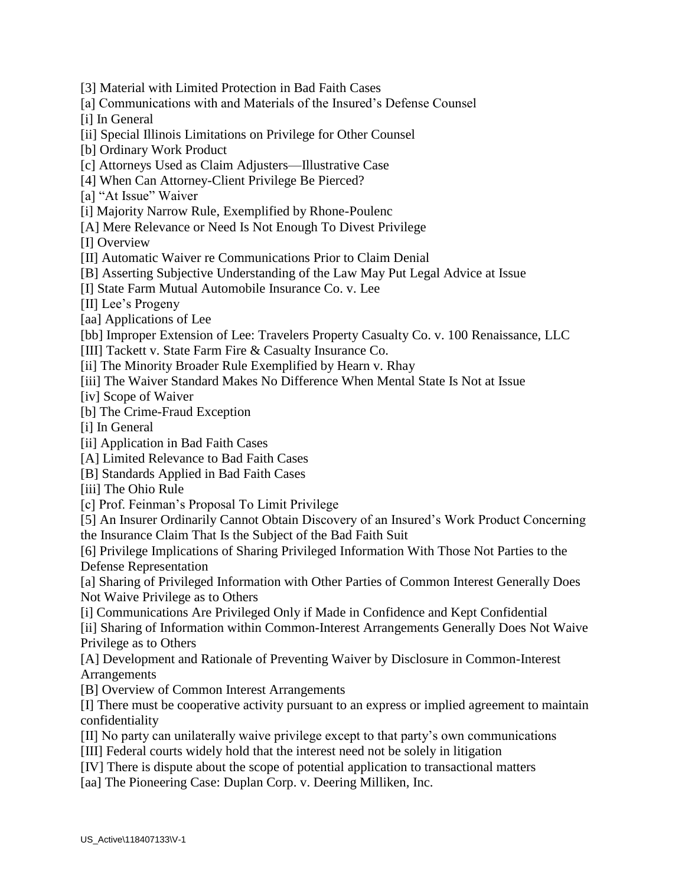- [3] Material with Limited Protection in Bad Faith Cases
- [a] Communications with and Materials of the Insured's Defense Counsel
- [i] In General
- [ii] Special Illinois Limitations on Privilege for Other Counsel
- [b] Ordinary Work Product
- [c] Attorneys Used as Claim Adjusters—Illustrative Case
- [4] When Can Attorney-Client Privilege Be Pierced?
- [a] "At Issue" Waiver
- [i] Majority Narrow Rule, Exemplified by Rhone-Poulenc
- [A] Mere Relevance or Need Is Not Enough To Divest Privilege

[I] Overview

- [II] Automatic Waiver re Communications Prior to Claim Denial
- [B] Asserting Subjective Understanding of the Law May Put Legal Advice at Issue
- [I] State Farm Mutual Automobile Insurance Co. v. Lee
- [II] Lee's Progeny
- [aa] Applications of Lee
- [bb] Improper Extension of Lee: Travelers Property Casualty Co. v. 100 Renaissance, LLC
- [III] Tackett v. State Farm Fire & Casualty Insurance Co.
- [ii] The Minority Broader Rule Exemplified by Hearn v. Rhay
- [iii] The Waiver Standard Makes No Difference When Mental State Is Not at Issue
- [iv] Scope of Waiver
- [b] The Crime-Fraud Exception
- [i] In General
- [ii] Application in Bad Faith Cases
- [A] Limited Relevance to Bad Faith Cases
- [B] Standards Applied in Bad Faith Cases
- [iii] The Ohio Rule
- [c] Prof. Feinman's Proposal To Limit Privilege
- [5] An Insurer Ordinarily Cannot Obtain Discovery of an Insured's Work Product Concerning the Insurance Claim That Is the Subject of the Bad Faith Suit
- [6] Privilege Implications of Sharing Privileged Information With Those Not Parties to the Defense Representation
- [a] Sharing of Privileged Information with Other Parties of Common Interest Generally Does Not Waive Privilege as to Others
- [i] Communications Are Privileged Only if Made in Confidence and Kept Confidential
- [ii] Sharing of Information within Common-Interest Arrangements Generally Does Not Waive Privilege as to Others
- [A] Development and Rationale of Preventing Waiver by Disclosure in Common-Interest Arrangements
- [B] Overview of Common Interest Arrangements
- [I] There must be cooperative activity pursuant to an express or implied agreement to maintain confidentiality
- [II] No party can unilaterally waive privilege except to that party's own communications
- [III] Federal courts widely hold that the interest need not be solely in litigation
- [IV] There is dispute about the scope of potential application to transactional matters
- [aa] The Pioneering Case: Duplan Corp. v. Deering Milliken, Inc.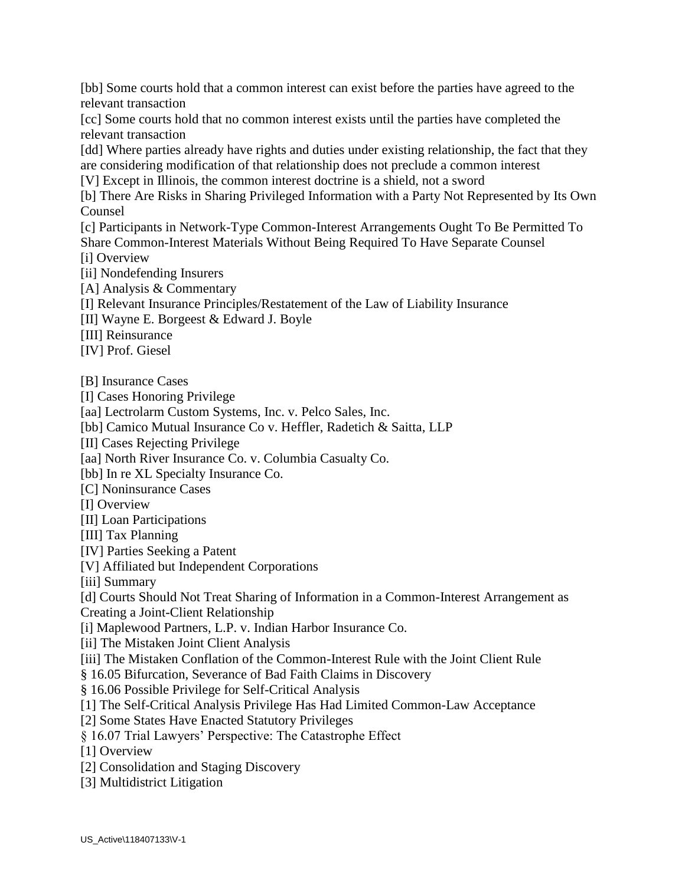[bb] Some courts hold that a common interest can exist before the parties have agreed to the relevant transaction

[cc] Some courts hold that no common interest exists until the parties have completed the relevant transaction

[dd] Where parties already have rights and duties under existing relationship, the fact that they are considering modification of that relationship does not preclude a common interest

[V] Except in Illinois, the common interest doctrine is a shield, not a sword

[b] There Are Risks in Sharing Privileged Information with a Party Not Represented by Its Own Counsel

[c] Participants in Network-Type Common-Interest Arrangements Ought To Be Permitted To Share Common-Interest Materials Without Being Required To Have Separate Counsel

[i] Overview

[ii] Nondefending Insurers

[A] Analysis & Commentary

[I] Relevant Insurance Principles/Restatement of the Law of Liability Insurance

[II] Wayne E. Borgeest & Edward J. Boyle

[III] Reinsurance

[IV] Prof. Giesel

[B] Insurance Cases

[I] Cases Honoring Privilege

[aa] Lectrolarm Custom Systems, Inc. v. Pelco Sales, Inc.

[bb] Camico Mutual Insurance Co v. Heffler, Radetich & Saitta, LLP

[II] Cases Rejecting Privilege

[aa] North River Insurance Co. v. Columbia Casualty Co.

[bb] In re XL Specialty Insurance Co.

[C] Noninsurance Cases

[I] Overview

[II] Loan Participations

[III] Tax Planning

[IV] Parties Seeking a Patent

[V] Affiliated but Independent Corporations

[iii] Summary

[d] Courts Should Not Treat Sharing of Information in a Common-Interest Arrangement as Creating a Joint-Client Relationship

[i] Maplewood Partners, L.P. v. Indian Harbor Insurance Co.

[ii] The Mistaken Joint Client Analysis

[iii] The Mistaken Conflation of the Common-Interest Rule with the Joint Client Rule

§ 16.05 Bifurcation, Severance of Bad Faith Claims in Discovery

§ 16.06 Possible Privilege for Self-Critical Analysis

[1] The Self-Critical Analysis Privilege Has Had Limited Common-Law Acceptance

[2] Some States Have Enacted Statutory Privileges

§ 16.07 Trial Lawyers' Perspective: The Catastrophe Effect

[1] Overview

[2] Consolidation and Staging Discovery

[3] Multidistrict Litigation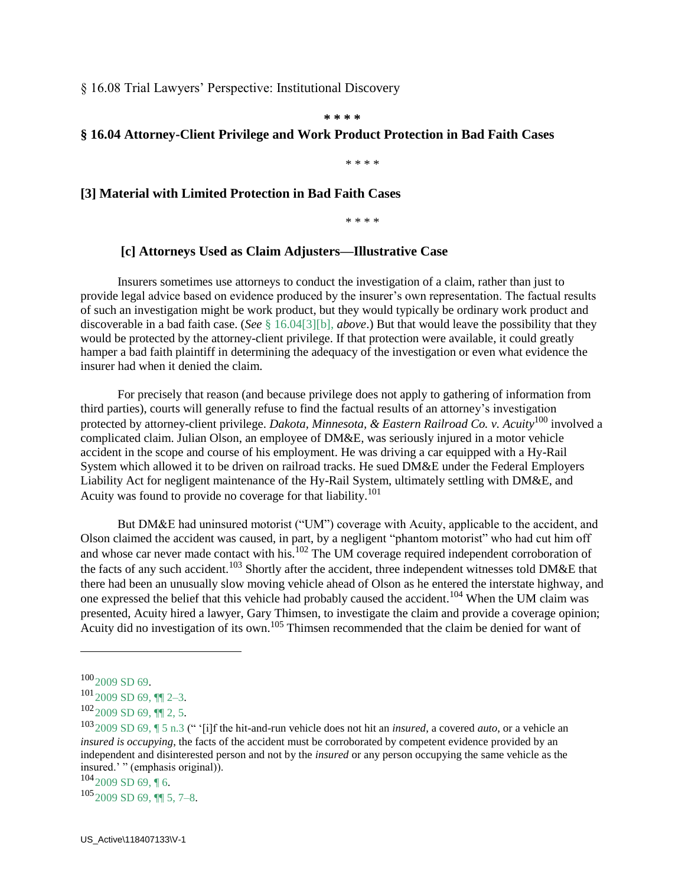§ 16.08 Trial Lawyers' Perspective: Institutional Discovery

**\* \* \* \***

#### **§ 16.04 Attorney-Client Privilege and Work Product Protection in Bad Faith Cases**

\* \* \* \*

#### **[3] Material with Limited Protection in Bad Faith Cases**

\* \* \* \*

#### **[c] Attorneys Used as Claim Adjusters—Illustrative Case**

 Insurers sometimes use attorneys to conduct the investigation of a claim, rather than just to provide legal advice based on evidence produced by the insurer's own representation. The factual results of such an investigation might be work product, but they would typically be ordinary work product and discoverable in a bad faith case. (*See* § 16.04[3][b], *above*.) But that would leave the possibility that they would be protected by the attorney-client privilege. If that protection were available, it could greatly hamper a bad faith plaintiff in determining the adequacy of the investigation or even what evidence the insurer had when it denied the claim.

 For precisely that reason (and because privilege does not apply to gathering of information from third parties), courts will generally refuse to find the factual results of an attorney's investigation protected by attorney-client privilege. *Dakota, Minnesota, & Eastern Railroad Co. v. Acuity*<sup>100</sup> involved a complicated claim. Julian Olson, an employee of DM&E, was seriously injured in a motor vehicle accident in the scope and course of his employment. He was driving a car equipped with a Hy-Rail System which allowed it to be driven on railroad tracks. He sued DM&E under the Federal Employers Liability Act for negligent maintenance of the Hy-Rail System, ultimately settling with DM&E, and Acuity was found to provide no coverage for that liability.<sup>101</sup>

 But DM&E had uninsured motorist ("UM") coverage with Acuity, applicable to the accident, and Olson claimed the accident was caused, in part, by a negligent "phantom motorist" who had cut him off and whose car never made contact with his.<sup>102</sup> The UM coverage required independent corroboration of the facts of any such accident.<sup>103</sup> Shortly after the accident, three independent witnesses told DM&E that there had been an unusually slow moving vehicle ahead of Olson as he entered the interstate highway, and one expressed the belief that this vehicle had probably caused the accident.<sup>104</sup> When the UM claim was presented, Acuity hired a lawyer, Gary Thimsen, to investigate the claim and provide a coverage opinion; Acuity did no investigation of its own.<sup>105</sup> Thimsen recommended that the claim be denied for want of

 $\overline{a}$ 

 $1052009$  SD 69, **[1]** 5, 7–8.

 $100_{2009}$  SD 69.

 $101_{2009}$  SD 69, ¶[2-3.

 $102$ <sub>2009</sub> SD 69, ¶[ 2, 5.

<sup>103</sup>2009 SD 69, ¶ 5 n.3 (" '[i]f the hit-and-run vehicle does not hit an *insured*, a covered *auto*, or a vehicle an *insured is occupying*, the facts of the accident must be corroborated by competent evidence provided by an independent and disinterested person and not by the *insured* or any person occupying the same vehicle as the insured.' " (emphasis original)).

 $104_{2009}$  SD 69, 16.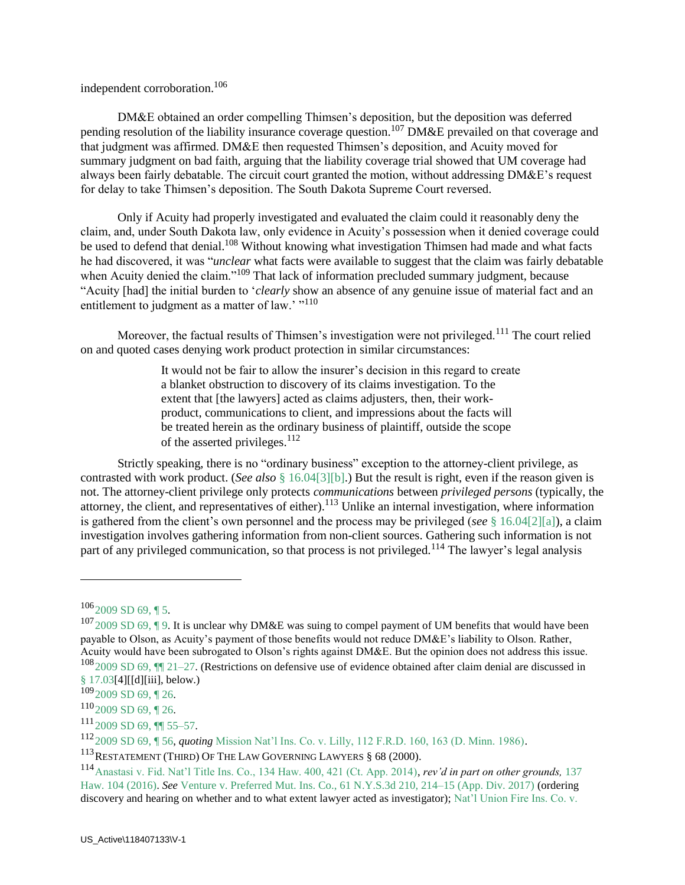independent corroboration.<sup>106</sup>

 DM&E obtained an order compelling Thimsen's deposition, but the deposition was deferred pending resolution of the liability insurance coverage question.<sup>107</sup> DM&E prevailed on that coverage and that judgment was affirmed. DM&E then requested Thimsen's deposition, and Acuity moved for summary judgment on bad faith, arguing that the liability coverage trial showed that UM coverage had always been fairly debatable. The circuit court granted the motion, without addressing DM&E's request for delay to take Thimsen's deposition. The South Dakota Supreme Court reversed.

 Only if Acuity had properly investigated and evaluated the claim could it reasonably deny the claim, and, under South Dakota law, only evidence in Acuity's possession when it denied coverage could be used to defend that denial.<sup>108</sup> Without knowing what investigation Thimsen had made and what facts he had discovered, it was "*unclear* what facts were available to suggest that the claim was fairly debatable when Acuity denied the claim."<sup>109</sup> That lack of information precluded summary judgment, because "Acuity [had] the initial burden to '*clearly* show an absence of any genuine issue of material fact and an entitlement to judgment as a matter of law.'  $\frac{100}{100}$ 

Moreover, the factual results of Thimsen's investigation were not privileged.<sup>111</sup> The court relied on and quoted cases denying work product protection in similar circumstances:

> It would not be fair to allow the insurer's decision in this regard to create a blanket obstruction to discovery of its claims investigation. To the extent that [the lawyers] acted as claims adjusters, then, their workproduct, communications to client, and impressions about the facts will be treated herein as the ordinary business of plaintiff, outside the scope of the asserted privileges. $^{112}$

 Strictly speaking, there is no "ordinary business" exception to the attorney-client privilege, as contrasted with work product. (*See also* § 16.04[3][b].) But the result is right, even if the reason given is not. The attorney-client privilege only protects *communications* between *privileged persons* (typically, the attorney, the client, and representatives of either).<sup>113</sup> Unlike an internal investigation, where information is gathered from the client's own personnel and the process may be privileged (*see* § 16.04[2][a]), a claim investigation involves gathering information from non-client sources. Gathering such information is not part of any privileged communication, so that process is not privileged.<sup>114</sup> The lawyer's legal analysis

 $106$ <sub>2009</sub> SD 69, ¶ 5.

 $1072009$  SD 69, ¶ 9. It is unclear why DM&E was suing to compel payment of UM benefits that would have been payable to Olson, as Acuity's payment of those benefits would not reduce DM&E's liability to Olson. Rather, Acuity would have been subrogated to Olson's rights against DM&E. But the opinion does not address this issue.  $1082009$  SD 69,  $\blacksquare$  21–27. (Restrictions on defensive use of evidence obtained after claim denial are discussed in § 17.03[4][[d][iii], below.)

 $109$ <sub>2009</sub> SD 69, 126.

 $110_{2009}$  SD 69, 126.

 $^{111}$ 2009 SD 69, ¶¶ 55–57.

<sup>112</sup>2009 SD 69, ¶ 56, *quoting* Mission Nat'l Ins. Co. v. Lilly, 112 F.R.D. 160, 163 (D. Minn. 1986).

<sup>113</sup>RESTATEMENT (THIRD) OF THE LAW GOVERNING LAWYERS § 68 (2000).

<sup>114</sup>Anastasi v. Fid. Nat'l Title Ins. Co., 134 Haw. 400, 421 (Ct. App. 2014), *rev'd in part on other grounds,* 137 Haw. 104 (2016). *See* Venture v. Preferred Mut. Ins. Co., 61 N.Y.S.3d 210, 214–15 (App. Div. 2017) (ordering discovery and hearing on whether and to what extent lawyer acted as investigator); Nat'l Union Fire Ins. Co. v.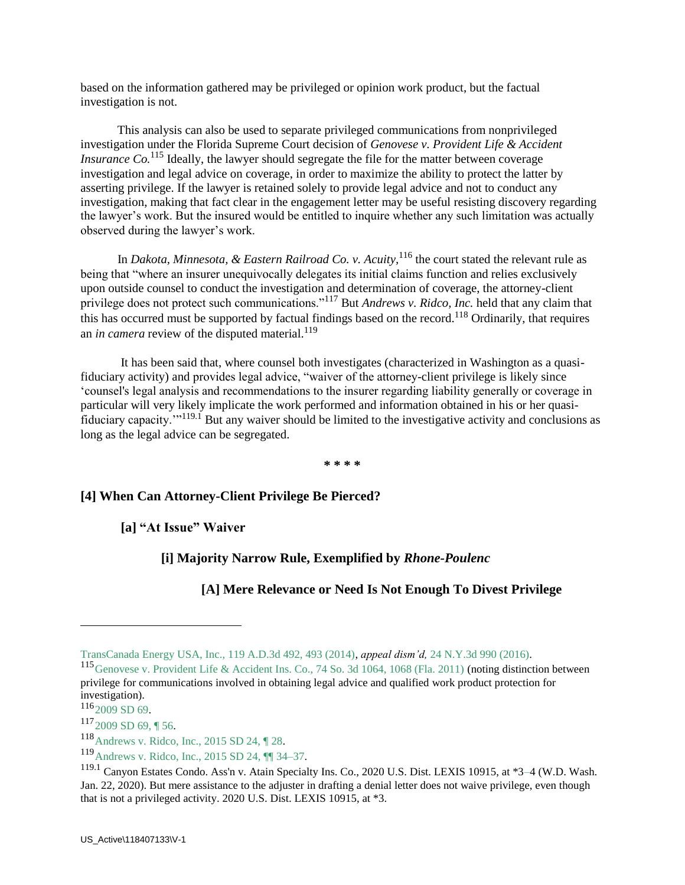based on the information gathered may be privileged or opinion work product, but the factual investigation is not.

 This analysis can also be used to separate privileged communications from nonprivileged investigation under the Florida Supreme Court decision of *Genovese v. Provident Life & Accident Insurance Co.*<sup>115</sup> Ideally, the lawyer should segregate the file for the matter between coverage investigation and legal advice on coverage, in order to maximize the ability to protect the latter by asserting privilege. If the lawyer is retained solely to provide legal advice and not to conduct any investigation, making that fact clear in the engagement letter may be useful resisting discovery regarding the lawyer's work. But the insured would be entitled to inquire whether any such limitation was actually observed during the lawyer's work.

 In *Dakota, Minnesota, & Eastern Railroad Co. v. Acuity,*<sup>116</sup> the court stated the relevant rule as being that "where an insurer unequivocally delegates its initial claims function and relies exclusively upon outside counsel to conduct the investigation and determination of coverage, the attorney-client privilege does not protect such communications."<sup>117</sup> But *Andrews v. Ridco, Inc.* held that any claim that this has occurred must be supported by factual findings based on the record.<sup>118</sup> Ordinarily, that requires an *in camera* review of the disputed material.<sup>119</sup>

It has been said that, where counsel both investigates (characterized in Washington as a quasifiduciary activity) and provides legal advice, "waiver of the attorney-client privilege is likely since 'counsel's legal analysis and recommendations to the insurer regarding liability generally or coverage in particular will very likely implicate the work performed and information obtained in his or her quasifiduciary capacity.'"119.1 But any waiver should be limited to the investigative activity and conclusions as long as the legal advice can be segregated.

**\* \* \* \***

### **[4] When Can Attorney-Client Privilege Be Pierced?**

**[a] "At Issue" Waiver**

### **[i] Majority Narrow Rule, Exemplified by** *Rhone-Poulenc*

## **[A] Mere Relevance or Need Is Not Enough To Divest Privilege**

TransCanada Energy USA, Inc., 119 A.D.3d 492, 493 (2014), *appeal dism'd,* 24 N.Y.3d 990 (2016).

<sup>115</sup>Genovese v. Provident Life & Accident Ins. Co., 74 So. 3d 1064, 1068 (Fla. 2011) (noting distinction between privilege for communications involved in obtaining legal advice and qualified work product protection for investigation).

 $116_{2009}$  SD 69.

 $117_{2009}$  SD 69, 156.

<sup>118</sup>Andrews v. Ridco, Inc., 2015 SD 24, ¶ 28.

<sup>119</sup>Andrews v. Ridco, Inc., 2015 SD 24, ¶¶ 34–37.

<sup>119.1</sup> Canyon Estates Condo. Ass'n v. Atain Specialty Ins. Co., 2020 U.S. Dist. LEXIS 10915, at \*3–4 (W.D. Wash. Jan. 22, 2020). But mere assistance to the adjuster in drafting a denial letter does not waive privilege, even though that is not a privileged activity. 2020 U.S. Dist. LEXIS 10915, at \*3.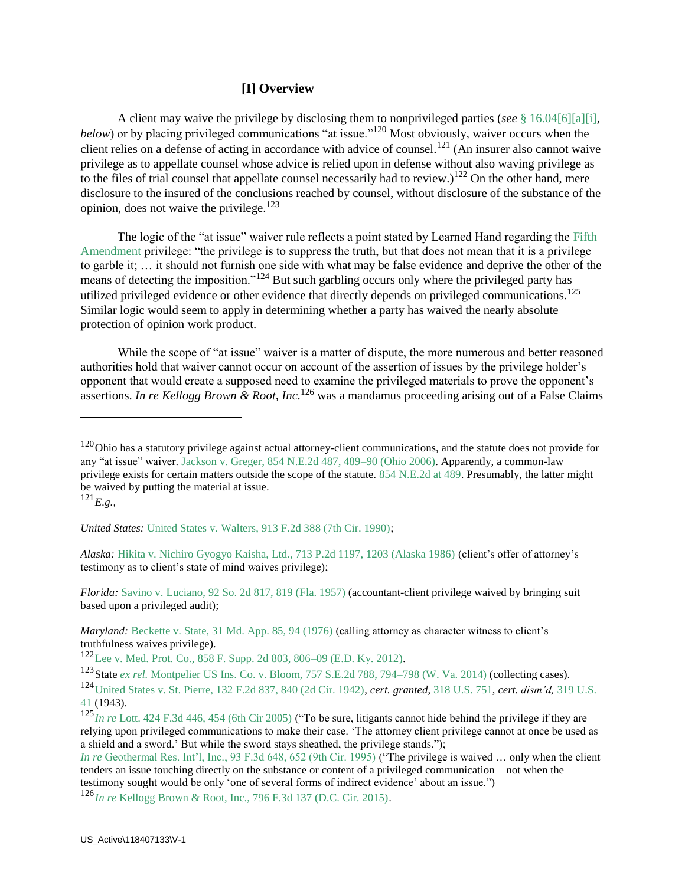#### **[I] Overview**

 A client may waive the privilege by disclosing them to nonprivileged parties (*see* § 16.04[6][a][i], *below*) or by placing privileged communications "at issue."<sup>120</sup> Most obviously, waiver occurs when the client relies on a defense of acting in accordance with advice of counsel.<sup>121</sup> (An insurer also cannot waive privilege as to appellate counsel whose advice is relied upon in defense without also waving privilege as to the files of trial counsel that appellate counsel necessarily had to review.)<sup>122</sup> On the other hand, mere disclosure to the insured of the conclusions reached by counsel, without disclosure of the substance of the opinion, does not waive the privilege.<sup>123</sup>

 The logic of the "at issue" waiver rule reflects a point stated by Learned Hand regarding the Fifth Amendment privilege: "the privilege is to suppress the truth, but that does not mean that it is a privilege to garble it; … it should not furnish one side with what may be false evidence and deprive the other of the means of detecting the imposition."<sup>124</sup> But such garbling occurs only where the privileged party has utilized privileged evidence or other evidence that directly depends on privileged communications.<sup>125</sup> Similar logic would seem to apply in determining whether a party has waived the nearly absolute protection of opinion work product.

While the scope of "at issue" waiver is a matter of dispute, the more numerous and better reasoned authorities hold that waiver cannot occur on account of the assertion of issues by the privilege holder's opponent that would create a supposed need to examine the privileged materials to prove the opponent's assertions. *In re Kellogg Brown & Root, Inc.*<sup>126</sup> was a mandamus proceeding arising out of a False Claims

 $\overline{a}$ 

*Alaska:* Hikita v. Nichiro Gyogyo Kaisha, Ltd., 713 P.2d 1197, 1203 (Alaska 1986) (client's offer of attorney's testimony as to client's state of mind waives privilege);

*Florida:* Savino v. Luciano, 92 So. 2d 817, 819 (Fla. 1957) (accountant-client privilege waived by bringing suit based upon a privileged audit);

 $120$ Ohio has a statutory privilege against actual attorney-client communications, and the statute does not provide for any "at issue" waiver. Jackson v. Greger, 854 N.E.2d 487, 489–90 (Ohio 2006). Apparently, a common-law privilege exists for certain matters outside the scope of the statute. 854 N.E.2d at 489. Presumably, the latter might be waived by putting the material at issue.

 $^{121}E.9...$ 

*United States:* United States v. Walters, 913 F.2d 388 (7th Cir. 1990);

*Maryland:* Beckette v. State, 31 Md. App. 85, 94 (1976) (calling attorney as character witness to client's truthfulness waives privilege).

<sup>122</sup>Lee v. Med. Prot. Co., 858 F. Supp. 2d 803, 806–09 (E.D. Ky. 2012).

<sup>123</sup>State *ex rel.* Montpelier US Ins. Co. v. Bloom, 757 S.E.2d 788, 794–798 (W. Va. 2014) (collecting cases).

<sup>124</sup>United States v. St. Pierre, 132 F.2d 837, 840 (2d Cir. 1942), *cert. granted*, 318 U.S. 751, *cert. dism'd,* 319 U.S. 41 (1943).

<sup>125</sup>*In re* Lott. 424 F.3d 446, 454 (6th Cir 2005) ("To be sure, litigants cannot hide behind the privilege if they are relying upon privileged communications to make their case. 'The attorney client privilege cannot at once be used as a shield and a sword.' But while the sword stays sheathed, the privilege stands.");

*In re* Geothermal Res. Int'l, Inc., 93 F.3d 648, 652 (9th Cir. 1995) ("The privilege is waived ... only when the client tenders an issue touching directly on the substance or content of a privileged communication—not when the testimony sought would be only 'one of several forms of indirect evidence' about an issue.")

<sup>126</sup>*In re* Kellogg Brown & Root, Inc., 796 F.3d 137 (D.C. Cir. 2015).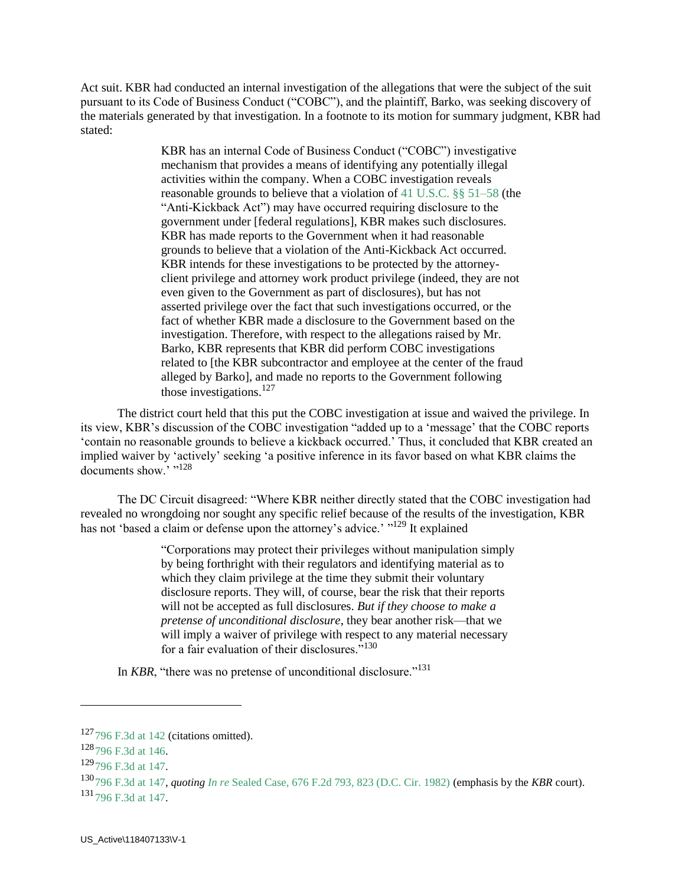Act suit. KBR had conducted an internal investigation of the allegations that were the subject of the suit pursuant to its Code of Business Conduct ("COBC"), and the plaintiff, Barko, was seeking discovery of the materials generated by that investigation. In a footnote to its motion for summary judgment, KBR had stated:

> KBR has an internal Code of Business Conduct ("COBC") investigative mechanism that provides a means of identifying any potentially illegal activities within the company. When a COBC investigation reveals reasonable grounds to believe that a violation of 41 U.S.C. §§ 51–58 (the "Anti-Kickback Act") may have occurred requiring disclosure to the government under [federal regulations], KBR makes such disclosures. KBR has made reports to the Government when it had reasonable grounds to believe that a violation of the Anti-Kickback Act occurred. KBR intends for these investigations to be protected by the attorneyclient privilege and attorney work product privilege (indeed, they are not even given to the Government as part of disclosures), but has not asserted privilege over the fact that such investigations occurred, or the fact of whether KBR made a disclosure to the Government based on the investigation. Therefore, with respect to the allegations raised by Mr. Barko, KBR represents that KBR did perform COBC investigations related to [the KBR subcontractor and employee at the center of the fraud alleged by Barko], and made no reports to the Government following those investigations. $127$

 The district court held that this put the COBC investigation at issue and waived the privilege. In its view, KBR's discussion of the COBC investigation "added up to a 'message' that the COBC reports 'contain no reasonable grounds to believe a kickback occurred.' Thus, it concluded that KBR created an implied waiver by 'actively' seeking 'a positive inference in its favor based on what KBR claims the documents show.' "128

 The DC Circuit disagreed: "Where KBR neither directly stated that the COBC investigation had revealed no wrongdoing nor sought any specific relief because of the results of the investigation, KBR has not 'based a claim or defense upon the attorney's advice.' "<sup>129</sup> It explained

> "Corporations may protect their privileges without manipulation simply by being forthright with their regulators and identifying material as to which they claim privilege at the time they submit their voluntary disclosure reports. They will, of course, bear the risk that their reports will not be accepted as full disclosures. *But if they choose to make a pretense of unconditional disclosure*, they bear another risk—that we will imply a waiver of privilege with respect to any material necessary for a fair evaluation of their disclosures."<sup>130</sup>

In *KBR*, "there was no pretense of unconditional disclosure."<sup>131</sup>

 $127$ 796 F.3d at 142 (citations omitted).

<sup>128</sup>796 F.3d at 146.

<sup>129</sup>796 F.3d at 147.

<sup>130</sup>796 F.3d at 147, *quoting In re* Sealed Case, 676 F.2d 793, 823 (D.C. Cir. 1982) (emphasis by the *KBR* court).  $131$  796 F.3d at 147.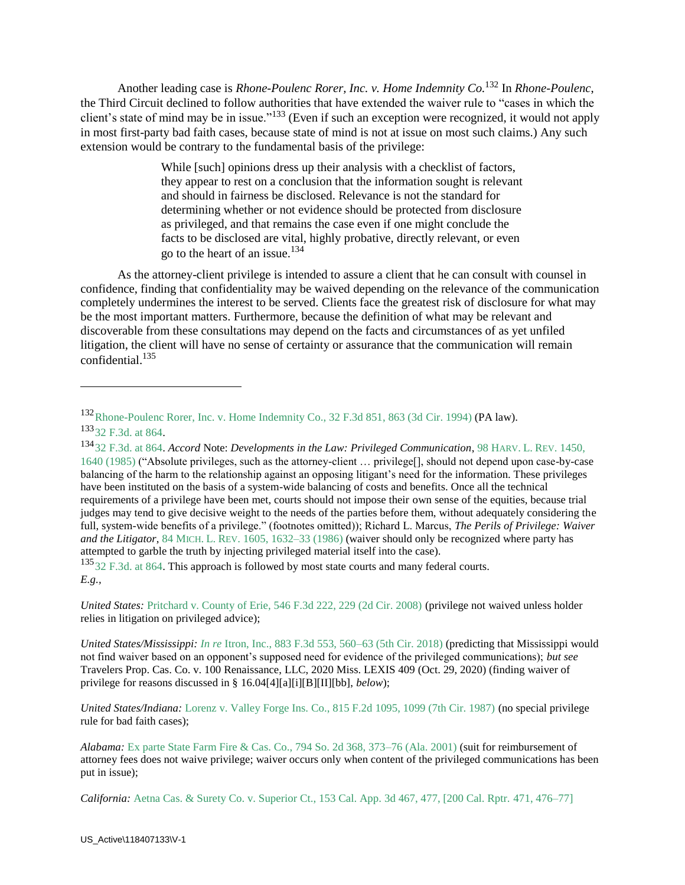Another leading case is *Rhone-Poulenc Rorer, Inc. v. Home Indemnity Co.*<sup>132</sup> In *Rhone-Poulenc*, the Third Circuit declined to follow authorities that have extended the waiver rule to "cases in which the client's state of mind may be in issue."<sup>133</sup> (Even if such an exception were recognized, it would not apply in most first-party bad faith cases, because state of mind is not at issue on most such claims.) Any such extension would be contrary to the fundamental basis of the privilege:

> While [such] opinions dress up their analysis with a checklist of factors, they appear to rest on a conclusion that the information sought is relevant and should in fairness be disclosed. Relevance is not the standard for determining whether or not evidence should be protected from disclosure as privileged, and that remains the case even if one might conclude the facts to be disclosed are vital, highly probative, directly relevant, or even go to the heart of an issue.<sup>134</sup>

 As the attorney-client privilege is intended to assure a client that he can consult with counsel in confidence, finding that confidentiality may be waived depending on the relevance of the communication completely undermines the interest to be served. Clients face the greatest risk of disclosure for what may be the most important matters. Furthermore, because the definition of what may be relevant and discoverable from these consultations may depend on the facts and circumstances of as yet unfiled litigation, the client will have no sense of certainty or assurance that the communication will remain confidential. $135$ 

<sup>135</sup>32 F.3d. at 864. This approach is followed by most state courts and many federal courts. *E.g.,*

*United States:* Pritchard v. County of Erie, 546 F.3d 222, 229 (2d Cir. 2008) (privilege not waived unless holder relies in litigation on privileged advice);

*United States/Mississippi: In re* Itron, Inc., 883 F.3d 553, 560–63 (5th Cir. 2018) (predicting that Mississippi would not find waiver based on an opponent's supposed need for evidence of the privileged communications); *but see*  Travelers Prop. Cas. Co. v. 100 Renaissance, LLC, 2020 Miss. LEXIS 409 (Oct. 29, 2020) (finding waiver of privilege for reasons discussed in § 16.04[4][a][i][B][II][bb], *below*);

*United States/Indiana:* Lorenz v. Valley Forge Ins. Co., 815 F.2d 1095, 1099 (7th Cir. 1987) (no special privilege rule for bad faith cases);

<sup>132</sup>Rhone-Poulenc Rorer, Inc. v. Home Indemnity Co., 32 F.3d 851, 863 (3d Cir. 1994) (PA law). 133<sub>32</sub> F.3d. at 864.

<sup>134</sup>32 F.3d. at 864. *Accord* Note: *Developments in the Law: Privileged Communication*, 98 HARV. L. REV. 1450, 1640 (1985) ("Absolute privileges, such as the attorney-client … privilege[], should not depend upon case-by-case balancing of the harm to the relationship against an opposing litigant's need for the information. These privileges have been instituted on the basis of a system-wide balancing of costs and benefits. Once all the technical requirements of a privilege have been met, courts should not impose their own sense of the equities, because trial judges may tend to give decisive weight to the needs of the parties before them, without adequately considering the full, system-wide benefits of a privilege." (footnotes omitted)); Richard L. Marcus, *The Perils of Privilege: Waiver and the Litigator*, 84 MICH. L. REV. 1605, 1632–33 (1986) (waiver should only be recognized where party has attempted to garble the truth by injecting privileged material itself into the case).

*Alabama:* Ex parte State Farm Fire & Cas. Co., 794 So. 2d 368, 373–76 (Ala. 2001) (suit for reimbursement of attorney fees does not waive privilege; waiver occurs only when content of the privileged communications has been put in issue);

*California:* Aetna Cas. & Surety Co. v. Superior Ct., 153 Cal. App. 3d 467, 477, [200 Cal. Rptr. 471, 476–77]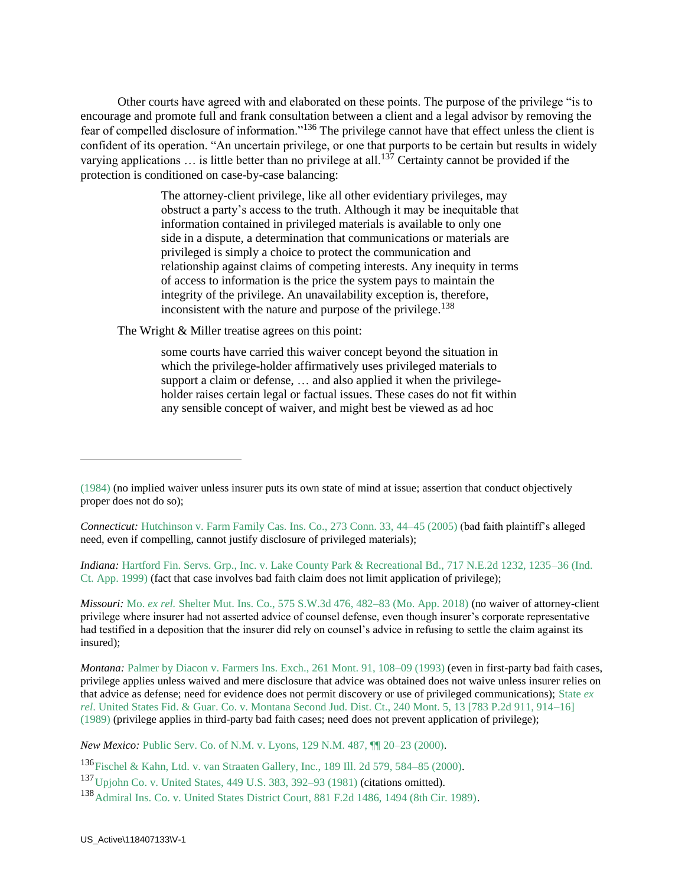Other courts have agreed with and elaborated on these points. The purpose of the privilege "is to encourage and promote full and frank consultation between a client and a legal advisor by removing the fear of compelled disclosure of information."<sup>136</sup> The privilege cannot have that effect unless the client is confident of its operation. "An uncertain privilege, or one that purports to be certain but results in widely varying applications  $\ldots$  is little better than no privilege at all.<sup>137</sup> Certainty cannot be provided if the protection is conditioned on case-by-case balancing:

> The attorney-client privilege, like all other evidentiary privileges, may obstruct a party's access to the truth. Although it may be inequitable that information contained in privileged materials is available to only one side in a dispute, a determination that communications or materials are privileged is simply a choice to protect the communication and relationship against claims of competing interests. Any inequity in terms of access to information is the price the system pays to maintain the integrity of the privilege. An unavailability exception is, therefore, inconsistent with the nature and purpose of the privilege.<sup>138</sup>

The Wright & Miller treatise agrees on this point:

some courts have carried this waiver concept beyond the situation in which the privilege-holder affirmatively uses privileged materials to support a claim or defense, ... and also applied it when the privilegeholder raises certain legal or factual issues. These cases do not fit within any sensible concept of waiver, and might best be viewed as ad hoc

*Indiana:* Hartford Fin. Servs. Grp., Inc. v. Lake County Park & Recreational Bd., 717 N.E.2d 1232, 1235–36 (Ind. Ct. App. 1999) (fact that case involves bad faith claim does not limit application of privilege);

*Missouri:* Mo. *ex rel.* Shelter Mut. Ins. Co., 575 S.W.3d 476, 482–83 (Mo. App. 2018) (no waiver of attorney-client privilege where insurer had not asserted advice of counsel defense, even though insurer's corporate representative had testified in a deposition that the insurer did rely on counsel's advice in refusing to settle the claim against its insured);

*Montana:* Palmer by Diacon v. Farmers Ins. Exch., 261 Mont. 91, 108–09 (1993) (even in first-party bad faith cases, privilege applies unless waived and mere disclosure that advice was obtained does not waive unless insurer relies on that advice as defense; need for evidence does not permit discovery or use of privileged communications); State *ex rel*. United States Fid. & Guar. Co. v. Montana Second Jud. Dist. Ct., 240 Mont. 5, 13 [783 P.2d 911, 914–16] (1989) (privilege applies in third-party bad faith cases; need does not prevent application of privilege);

*New Mexico:* Public Serv. Co. of N.M. v. Lyons, 129 N.M. 487,  $\P$  20–23 (2000).

<sup>136</sup>Fischel & Kahn, Ltd. v. van Straaten Gallery, Inc., 189 Ill. 2d 579, 584–85 (2000).

<sup>(1984)</sup> (no implied waiver unless insurer puts its own state of mind at issue; assertion that conduct objectively proper does not do so);

*Connecticut:* Hutchinson v. Farm Family Cas. Ins. Co., 273 Conn. 33, 44–45 (2005) (bad faith plaintiff's alleged need, even if compelling, cannot justify disclosure of privileged materials);

<sup>137</sup>Upjohn Co. v. United States, 449 U.S. 383, 392–93 (1981) (citations omitted).

<sup>138</sup>Admiral Ins. Co. v. United States District Court, 881 F.2d 1486, 1494 (8th Cir. 1989).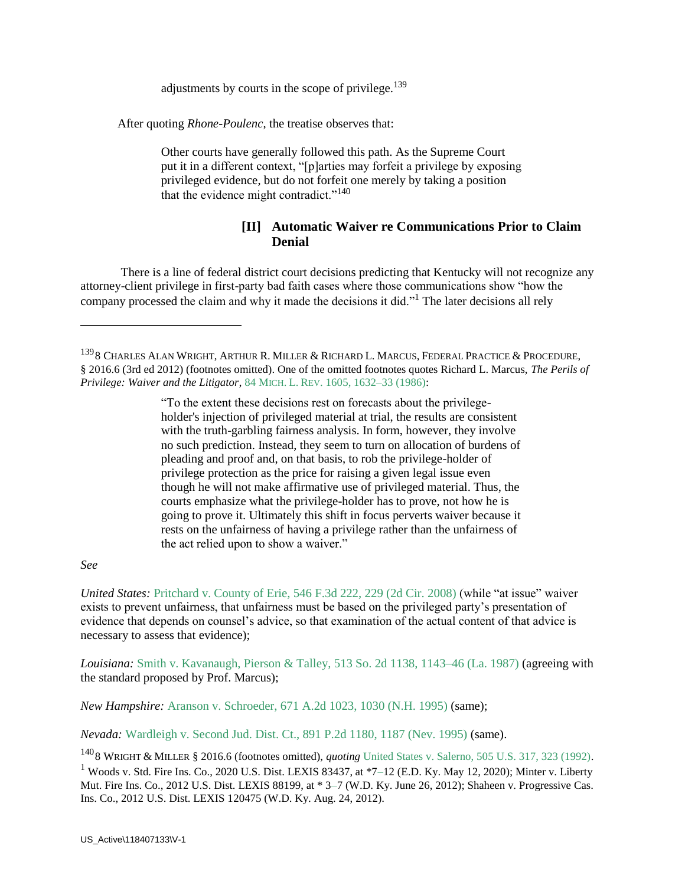adjustments by courts in the scope of privilege. $139$ 

After quoting *Rhone-Poulenc*, the treatise observes that:

Other courts have generally followed this path. As the Supreme Court put it in a different context, "[p]arties may forfeit a privilege by exposing privileged evidence, but do not forfeit one merely by taking a position that the evidence might contradict."<sup>140</sup>

### **[II] Automatic Waiver re Communications Prior to Claim Denial**

There is a line of federal district court decisions predicting that Kentucky will not recognize any attorney-client privilege in first-party bad faith cases where those communications show "how the company processed the claim and why it made the decisions it did."<sup>1</sup> The later decisions all rely

"To the extent these decisions rest on forecasts about the privilegeholder's injection of privileged material at trial, the results are consistent with the truth-garbling fairness analysis. In form, however, they involve no such prediction. Instead, they seem to turn on allocation of burdens of pleading and proof and, on that basis, to rob the privilege-holder of privilege protection as the price for raising a given legal issue even though he will not make affirmative use of privileged material. Thus, the courts emphasize what the privilege-holder has to prove, not how he is going to prove it. Ultimately this shift in focus perverts waiver because it rests on the unfairness of having a privilege rather than the unfairness of the act relied upon to show a waiver."

#### *See*

 $\overline{a}$ 

*United States:* Pritchard v. County of Erie, 546 F.3d 222, 229 (2d Cir. 2008) (while "at issue" waiver exists to prevent unfairness, that unfairness must be based on the privileged party's presentation of evidence that depends on counsel's advice, so that examination of the actual content of that advice is necessary to assess that evidence);

*Louisiana:* Smith v. Kavanaugh, Pierson & Talley, 513 So. 2d 1138, 1143–46 (La. 1987) (agreeing with the standard proposed by Prof. Marcus);

*New Hampshire:* Aranson v. Schroeder, 671 A.2d 1023, 1030 (N.H. 1995) (same);

*Nevada:* Wardleigh v. Second Jud. Dist. Ct., 891 P.2d 1180, 1187 (Nev. 1995) (same).

<sup>140</sup>8 WRIGHT & MILLER § 2016.6 (footnotes omitted), *quoting* United States v. Salerno, 505 U.S. 317, 323 (1992). <sup>1</sup> Woods v. Std. Fire Ins. Co., 2020 U.S. Dist. LEXIS 83437, at  $*7-12$  (E.D. Ky. May 12, 2020); Minter v. Liberty Mut. Fire Ins. Co., 2012 U.S. Dist. LEXIS 88199, at \* 3–7 (W.D. Ky. June 26, 2012); Shaheen v. Progressive Cas. Ins. Co., 2012 U.S. Dist. LEXIS 120475 (W.D. Ky. Aug. 24, 2012).

<sup>&</sup>lt;sup>139</sup>8 CHARLES ALAN WRIGHT, ARTHUR R. MILLER & RICHARD L. MARCUS, FEDERAL PRACTICE & PROCEDURE, § 2016.6 (3rd ed 2012) (footnotes omitted). One of the omitted footnotes quotes Richard L. Marcus, *The Perils of Privilege: Waiver and the Litigator*, 84 MICH. L. REV. 1605, 1632–33 (1986):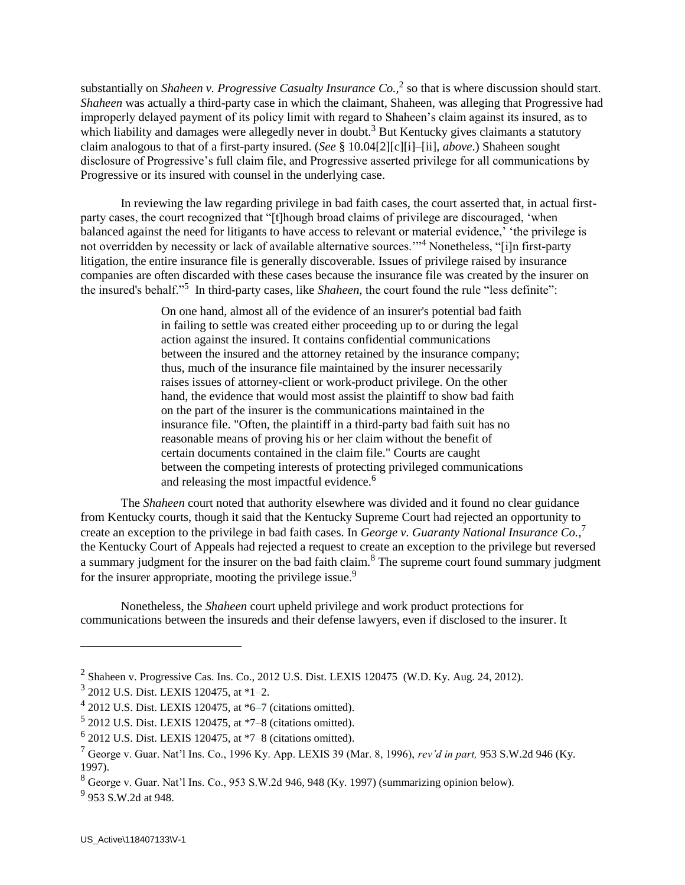substantially on *Shaheen v. Progressive Casualty Insurance Co.*,<sup>2</sup> so that is where discussion should start. *Shaheen* was actually a third-party case in which the claimant, Shaheen, was alleging that Progressive had improperly delayed payment of its policy limit with regard to Shaheen's claim against its insured, as to which liability and damages were allegedly never in doubt.<sup>3</sup> But Kentucky gives claimants a statutory claim analogous to that of a first-party insured. (*See* § 10.04[2][c][i]–[ii], *above*.) Shaheen sought disclosure of Progressive's full claim file, and Progressive asserted privilege for all communications by Progressive or its insured with counsel in the underlying case.

In reviewing the law regarding privilege in bad faith cases, the court asserted that, in actual firstparty cases, the court recognized that "[t]hough broad claims of privilege are discouraged, 'when balanced against the need for litigants to have access to relevant or material evidence,' 'the privilege is not overridden by necessity or lack of available alternative sources.'"<sup>4</sup> Nonetheless, "[i]n first-party litigation, the entire insurance file is generally discoverable. Issues of privilege raised by insurance companies are often discarded with these cases because the insurance file was created by the insurer on the insured's behalf."<sup>5</sup> In third-party cases, like *Shaheen,* the court found the rule "less definite":

> On one hand, almost all of the evidence of an insurer's potential bad faith in failing to settle was created either proceeding up to or during the legal action against the insured. It contains confidential communications between the insured and the attorney retained by the insurance company; thus, much of the insurance file maintained by the insurer necessarily raises issues of attorney-client or work-product privilege. On the other hand, the evidence that would most assist the plaintiff to show bad faith on the part of the insurer is the communications maintained in the insurance file. "Often, the plaintiff in a third-party bad faith suit has no reasonable means of proving his or her claim without the benefit of certain documents contained in the claim file." Courts are caught between the competing interests of protecting privileged communications and releasing the most impactful evidence.<sup>6</sup>

The *Shaheen* court noted that authority elsewhere was divided and it found no clear guidance from Kentucky courts, though it said that the Kentucky Supreme Court had rejected an opportunity to create an exception to the privilege in bad faith cases. In *George v. Guaranty National Insurance Co.,*<sup>7</sup> the Kentucky Court of Appeals had rejected a request to create an exception to the privilege but reversed a summary judgment for the insurer on the bad faith claim.<sup>8</sup> The supreme court found summary judgment for the insurer appropriate, mooting the privilege issue.<sup>9</sup>

Nonetheless, the *Shaheen* court upheld privilege and work product protections for communications between the insureds and their defense lawyers, even if disclosed to the insurer. It

 $^2$  Shaheen v. Progressive Cas. Ins. Co., 2012 U.S. Dist. LEXIS 120475 (W.D. Ky. Aug. 24, 2012).

<sup>3</sup> 2012 U.S. Dist. LEXIS 120475, at \*1–2.

 $42012$  U.S. Dist. LEXIS 120475, at  $*6-7$  (citations omitted).

 $52012$  U.S. Dist. LEXIS 120475, at  $*7-8$  (citations omitted).

 $6$  2012 U.S. Dist. LEXIS 120475, at  $*7-8$  (citations omitted).

<sup>7</sup> George v. Guar. Nat'l Ins. Co., 1996 Ky. App. LEXIS 39 (Mar. 8, 1996), *rev'd in part,* 953 S.W.2d 946 (Ky. 1997).

<sup>8</sup> George v. Guar. Nat'l Ins. Co., 953 S.W.2d 946, 948 (Ky. 1997) (summarizing opinion below).

<sup>&</sup>lt;sup>9</sup> 953 S.W.2d at 948.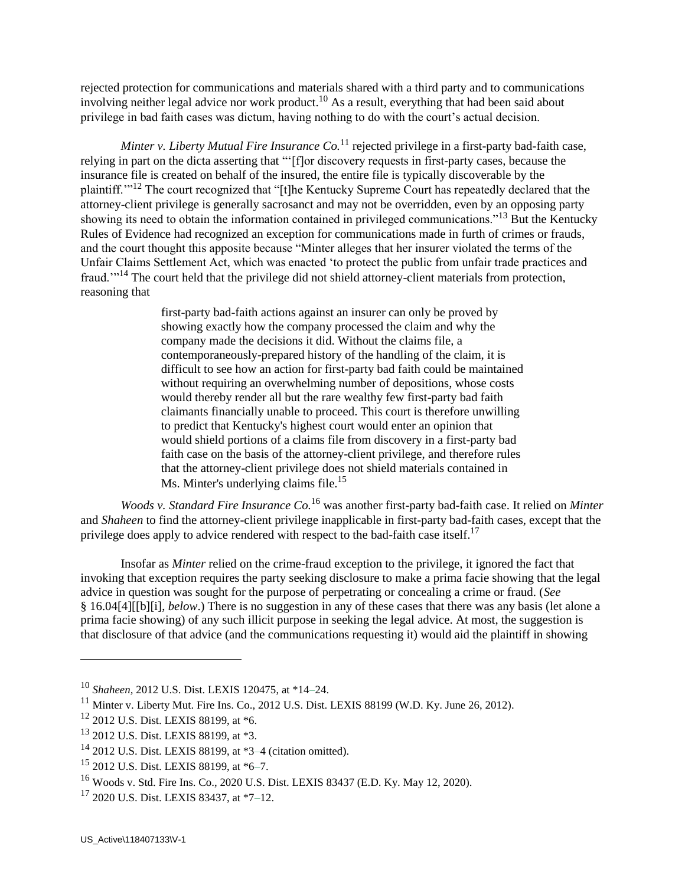rejected protection for communications and materials shared with a third party and to communications involving neither legal advice nor work product.<sup>10</sup> As a result, everything that had been said about privilege in bad faith cases was dictum, having nothing to do with the court's actual decision.

*Minter v. Liberty Mutual Fire Insurance Co.*<sup>11</sup> rejected privilege in a first-party bad-faith case, relying in part on the dicta asserting that "'[f]or discovery requests in first-party cases, because the insurance file is created on behalf of the insured, the entire file is typically discoverable by the plaintiff.'"<sup>12</sup> The court recognized that "[t]he Kentucky Supreme Court has repeatedly declared that the attorney-client privilege is generally sacrosanct and may not be overridden, even by an opposing party showing its need to obtain the information contained in privileged communications."<sup>13</sup> But the Kentucky Rules of Evidence had recognized an exception for communications made in furth of crimes or frauds, and the court thought this apposite because "Minter alleges that her insurer violated the terms of the Unfair Claims Settlement Act, which was enacted 'to protect the public from unfair trade practices and fraud.'"<sup>14</sup> The court held that the privilege did not shield attorney-client materials from protection, reasoning that

> first-party bad-faith actions against an insurer can only be proved by showing exactly how the company processed the claim and why the company made the decisions it did. Without the claims file, a contemporaneously-prepared history of the handling of the claim, it is difficult to see how an action for first-party bad faith could be maintained without requiring an overwhelming number of depositions, whose costs would thereby render all but the rare wealthy few first-party bad faith claimants financially unable to proceed. This court is therefore unwilling to predict that Kentucky's highest court would enter an opinion that would shield portions of a claims file from discovery in a first-party bad faith case on the basis of the attorney-client privilege, and therefore rules that the attorney-client privilege does not shield materials contained in Ms. Minter's underlying claims file.<sup>15</sup>

*Woods v. Standard Fire Insurance Co.*<sup>16</sup> was another first-party bad-faith case. It relied on *Minter*  and *Shaheen* to find the attorney-client privilege inapplicable in first-party bad-faith cases, except that the privilege does apply to advice rendered with respect to the bad-faith case itself.<sup>17</sup>

Insofar as *Minter* relied on the crime-fraud exception to the privilege, it ignored the fact that invoking that exception requires the party seeking disclosure to make a prima facie showing that the legal advice in question was sought for the purpose of perpetrating or concealing a crime or fraud. (*See* § 16.04[4][[b][i], *below*.) There is no suggestion in any of these cases that there was any basis (let alone a prima facie showing) of any such illicit purpose in seeking the legal advice. At most, the suggestion is that disclosure of that advice (and the communications requesting it) would aid the plaintiff in showing

<sup>10</sup> *Shaheen,* 2012 U.S. Dist. LEXIS 120475, at \*14–24.

<sup>&</sup>lt;sup>11</sup> Minter v. Liberty Mut. Fire Ins. Co., 2012 U.S. Dist. LEXIS 88199 (W.D. Ky. June 26, 2012).

<sup>12</sup> 2012 U.S. Dist. LEXIS 88199, at \*6.

<sup>13</sup> 2012 U.S. Dist. LEXIS 88199, at \*3.

<sup>14</sup> 2012 U.S. Dist. LEXIS 88199, at \*3–4 (citation omitted).

<sup>15</sup> 2012 U.S. Dist. LEXIS 88199, at \*6–7.

<sup>16</sup> Woods v. Std. Fire Ins. Co., 2020 U.S. Dist. LEXIS 83437 (E.D. Ky. May 12, 2020).

 $17$  2020 U.S. Dist. LEXIS 83437, at  $*7-12$ .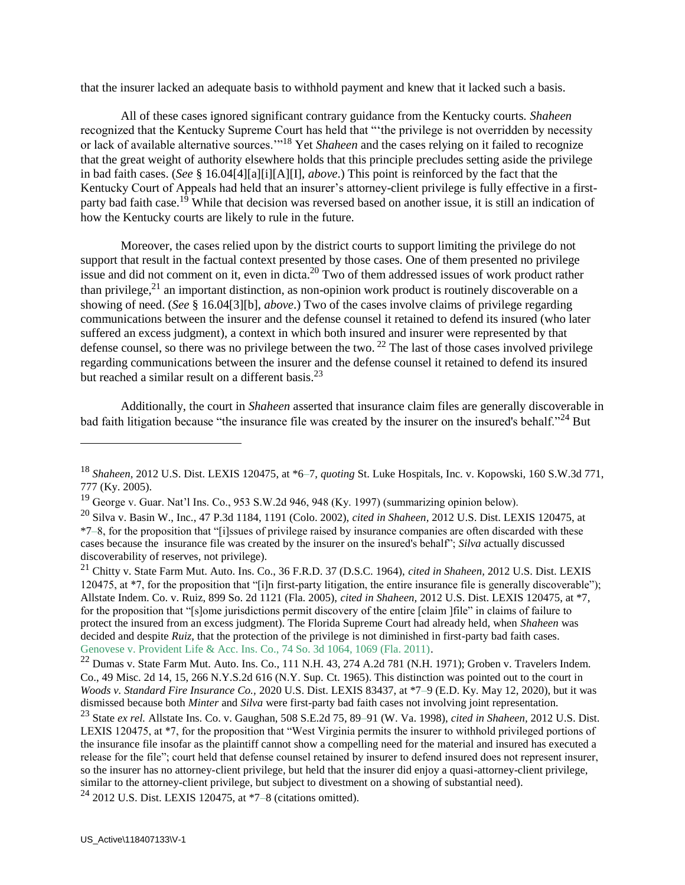that the insurer lacked an adequate basis to withhold payment and knew that it lacked such a basis.

All of these cases ignored significant contrary guidance from the Kentucky courts. *Shaheen*  recognized that the Kentucky Supreme Court has held that "'the privilege is not overridden by necessity or lack of available alternative sources.'"<sup>18</sup> Yet *Shaheen* and the cases relying on it failed to recognize that the great weight of authority elsewhere holds that this principle precludes setting aside the privilege in bad faith cases. (*See* § 16.04[4][a][i][A][I], *above*.) This point is reinforced by the fact that the Kentucky Court of Appeals had held that an insurer's attorney-client privilege is fully effective in a firstparty bad faith case.<sup>19</sup> While that decision was reversed based on another issue, it is still an indication of how the Kentucky courts are likely to rule in the future.

Moreover, the cases relied upon by the district courts to support limiting the privilege do not support that result in the factual context presented by those cases. One of them presented no privilege issue and did not comment on it, even in dicta.<sup>20</sup> Two of them addressed issues of work product rather than privilege, $^{21}$  an important distinction, as non-opinion work product is routinely discoverable on a showing of need. (*See* § 16.04[3][b], *above*.) Two of the cases involve claims of privilege regarding communications between the insurer and the defense counsel it retained to defend its insured (who later suffered an excess judgment), a context in which both insured and insurer were represented by that defense counsel, so there was no privilege between the two.  $^{22}$  The last of those cases involved privilege regarding communications between the insurer and the defense counsel it retained to defend its insured but reached a similar result on a different basis.<sup>23</sup>

Additionally, the court in *Shaheen* asserted that insurance claim files are generally discoverable in bad faith litigation because "the insurance file was created by the insurer on the insured's behalf."<sup>24</sup> But

 $24$  2012 U.S. Dist. LEXIS 120475, at \*7–8 (citations omitted).

<sup>18</sup> *Shaheen,* 2012 U.S. Dist. LEXIS 120475, at \*6–7, *quoting* St. Luke Hospitals, Inc. v. Kopowski, 160 S.W.3d 771, 777 (Ky. 2005).

 $19$  George v. Guar. Nat'l Ins. Co., 953 S.W.2d 946, 948 (Ky. 1997) (summarizing opinion below).

<sup>20</sup> Silva v. Basin W., Inc., 47 P.3d 1184, 1191 (Colo. 2002), *cited in Shaheen,* 2012 U.S. Dist. LEXIS 120475, at \*7–8, for the proposition that "[i]ssues of privilege raised by insurance companies are often discarded with these cases because the insurance file was created by the insurer on the insured's behalf"; *Silva* actually discussed discoverability of reserves, not privilege).

<sup>21</sup> Chitty v. State Farm Mut. Auto. Ins. Co., 36 F.R.D. 37 (D.S.C. 1964), *cited in Shaheen,* 2012 U.S. Dist. LEXIS 120475, at \*7, for the proposition that "[i]n first-party litigation, the entire insurance file is generally discoverable"); Allstate Indem. Co. v. Ruiz, 899 So. 2d 1121 (Fla. 2005), *cited in Shaheen,* 2012 U.S. Dist. LEXIS 120475, at \*7, for the proposition that "[s]ome jurisdictions permit discovery of the entire [claim ]file" in claims of failure to protect the insured from an excess judgment). The Florida Supreme Court had already held, when *Shaheen* was decided and despite *Ruiz*, that the protection of the privilege is not diminished in first-party bad faith cases. Genovese v. Provident Life & Acc. Ins. Co., 74 So. 3d 1064, 1069 (Fla. 2011).

 $^{22}$  Dumas v. State Farm Mut. Auto. Ins. Co., 111 N.H. 43, 274 A.2d 781 (N.H. 1971); Groben v. Travelers Indem. Co., 49 Misc. 2d 14, 15, 266 N.Y.S.2d 616 (N.Y. Sup. Ct. 1965). This distinction was pointed out to the court in *Woods v. Standard Fire Insurance Co.,* 2020 U.S. Dist. LEXIS 83437, at \*7–9 (E.D. Ky. May 12, 2020), but it was dismissed because both *Minter* and *Silva* were first-party bad faith cases not involving joint representation.

<sup>23</sup> State *ex rel.* Allstate Ins. Co. v. Gaughan, 508 S.E.2d 75, 89–91 (W. Va. 1998), *cited in Shaheen,* 2012 U.S. Dist. LEXIS 120475, at \*7, for the proposition that "West Virginia permits the insurer to withhold privileged portions of the insurance file insofar as the plaintiff cannot show a compelling need for the material and insured has executed a release for the file"; court held that defense counsel retained by insurer to defend insured does not represent insurer, so the insurer has no attorney-client privilege, but held that the insurer did enjoy a quasi-attorney-client privilege, similar to the attorney-client privilege, but subject to divestment on a showing of substantial need).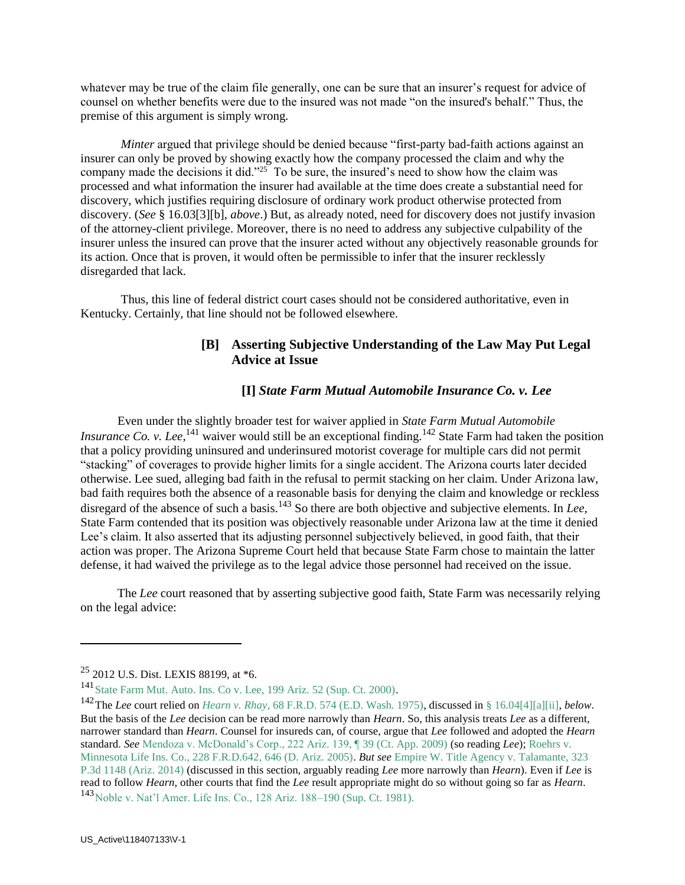whatever may be true of the claim file generally, one can be sure that an insurer's request for advice of counsel on whether benefits were due to the insured was not made "on the insured's behalf." Thus, the premise of this argument is simply wrong.

*Minter* argued that privilege should be denied because "first-party bad-faith actions against an insurer can only be proved by showing exactly how the company processed the claim and why the company made the decisions it did."<sup>25</sup> To be sure, the insured's need to show how the claim was processed and what information the insurer had available at the time does create a substantial need for discovery, which justifies requiring disclosure of ordinary work product otherwise protected from discovery. (*See* § 16.03[3][b], *above*.) But, as already noted, need for discovery does not justify invasion of the attorney-client privilege. Moreover, there is no need to address any subjective culpability of the insurer unless the insured can prove that the insurer acted without any objectively reasonable grounds for its action. Once that is proven, it would often be permissible to infer that the insurer recklessly disregarded that lack.

Thus, this line of federal district court cases should not be considered authoritative, even in Kentucky. Certainly, that line should not be followed elsewhere.

### **[B] Asserting Subjective Understanding of the Law May Put Legal Advice at Issue**

### **[I]** *State Farm Mutual Automobile Insurance Co. v. Lee*

 Even under the slightly broader test for waiver applied in *State Farm Mutual Automobile Insurance Co. v. Lee*,<sup>141</sup> waiver would still be an exceptional finding.<sup>142</sup> State Farm had taken the position that a policy providing uninsured and underinsured motorist coverage for multiple cars did not permit "stacking" of coverages to provide higher limits for a single accident. The Arizona courts later decided otherwise. Lee sued, alleging bad faith in the refusal to permit stacking on her claim. Under Arizona law, bad faith requires both the absence of a reasonable basis for denying the claim and knowledge or reckless disregard of the absence of such a basis.<sup>143</sup> So there are both objective and subjective elements. In *Lee*, State Farm contended that its position was objectively reasonable under Arizona law at the time it denied Lee's claim. It also asserted that its adjusting personnel subjectively believed, in good faith, that their action was proper. The Arizona Supreme Court held that because State Farm chose to maintain the latter defense, it had waived the privilege as to the legal advice those personnel had received on the issue.

 The *Lee* court reasoned that by asserting subjective good faith, State Farm was necessarily relying on the legal advice:

<sup>25</sup> 2012 U.S. Dist. LEXIS 88199, at \*6.

<sup>141</sup>State Farm Mut. Auto. Ins. Co v. Lee, 199 Ariz. 52 (Sup. Ct. 2000).

<sup>142</sup>The *Lee* court relied on *Hearn v. Rhay*, 68 F.R.D. 574 (E.D. Wash. 1975), discussed in § 16.04[4][a][ii], *below*. But the basis of the *Lee* decision can be read more narrowly than *Hearn*. So, this analysis treats *Lee* as a different, narrower standard than *Hearn*. Counsel for insureds can, of course, argue that *Lee* followed and adopted the *Hearn* standard. *See* Mendoza v. McDonald's Corp., 222 Ariz. 139, ¶ 39 (Ct. App. 2009) (so reading *Lee*); Roehrs v. Minnesota Life Ins. Co., 228 F.R.D.642, 646 (D. Ariz. 2005). *But see* Empire W. Title Agency v. Talamante, 323 P.3d 1148 (Ariz. 2014) (discussed in this section, arguably reading *Lee* more narrowly than *Hearn*). Even if *Lee* is read to follow *Hearn*, other courts that find the *Lee* result appropriate might do so without going so far as *Hearn*. <sup>143</sup>Noble v. Nat'l Amer. Life Ins. Co., 128 Ariz. 188–190 (Sup. Ct. 1981).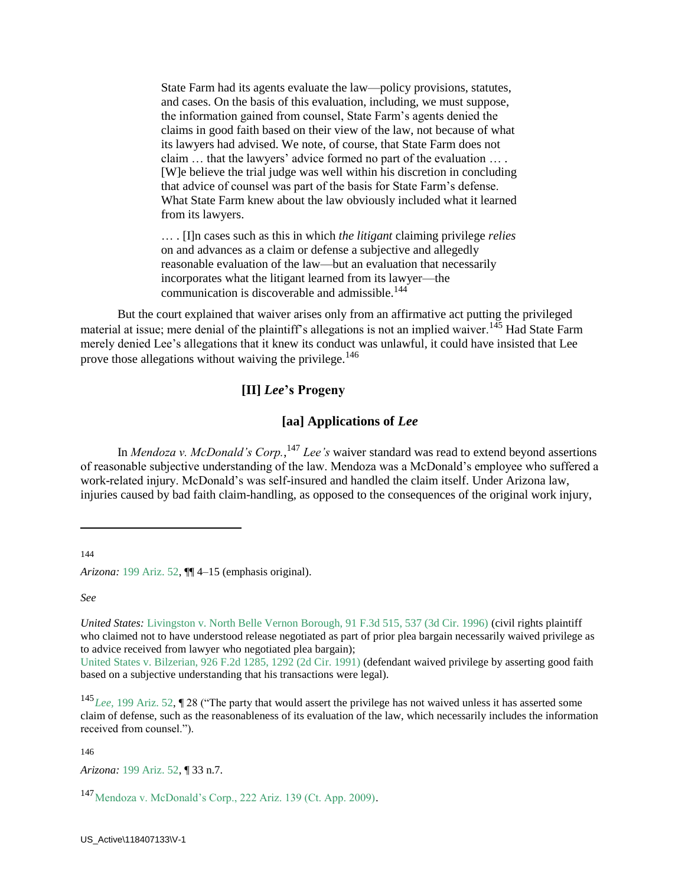State Farm had its agents evaluate the law—policy provisions, statutes, and cases. On the basis of this evaluation, including, we must suppose, the information gained from counsel, State Farm's agents denied the claims in good faith based on their view of the law, not because of what its lawyers had advised. We note, of course, that State Farm does not claim … that the lawyers' advice formed no part of the evaluation … . [W]e believe the trial judge was well within his discretion in concluding that advice of counsel was part of the basis for State Farm's defense. What State Farm knew about the law obviously included what it learned from its lawyers.

… . [I]n cases such as this in which *the litigant* claiming privilege *relies* on and advances as a claim or defense a subjective and allegedly reasonable evaluation of the law—but an evaluation that necessarily incorporates what the litigant learned from its lawyer—the communication is discoverable and admissible.<sup>144</sup>

 But the court explained that waiver arises only from an affirmative act putting the privileged material at issue; mere denial of the plaintiff's allegations is not an implied waiver.<sup>145</sup> Had State Farm merely denied Lee's allegations that it knew its conduct was unlawful, it could have insisted that Lee prove those allegations without waiving the privilege.<sup>146</sup>

#### **[II]** *Lee***'s Progeny**

#### **[aa] Applications of** *Lee*

In *Mendoza v. McDonald's Corp.*, <sup>147</sup> *Lee's* waiver standard was read to extend beyond assertions of reasonable subjective understanding of the law. Mendoza was a McDonald's employee who suffered a work-related injury. McDonald's was self-insured and handled the claim itself. Under Arizona law, injuries caused by bad faith claim-handling, as opposed to the consequences of the original work injury,

144

 $\overline{a}$ 

*Arizona:* 199 Ariz. 52, ¶¶ 4–15 (emphasis original).

*See*

*United States:* Livingston v. North Belle Vernon Borough, 91 F.3d 515, 537 (3d Cir. 1996) (civil rights plaintiff who claimed not to have understood release negotiated as part of prior plea bargain necessarily waived privilege as to advice received from lawyer who negotiated plea bargain);

United States v. Bilzerian, 926 F.2d 1285, 1292 (2d Cir. 1991) (defendant waived privilege by asserting good faith based on a subjective understanding that his transactions were legal).

<sup>145</sup>*Lee,* 199 Ariz. 52, ¶ 28 ("The party that would assert the privilege has not waived unless it has asserted some claim of defense, such as the reasonableness of its evaluation of the law, which necessarily includes the information received from counsel.").

146

*Arizona:* 199 Ariz. 52, ¶ 33 n.7.

<sup>147</sup>Mendoza v. McDonald's Corp., 222 Ariz. 139 (Ct. App. 2009).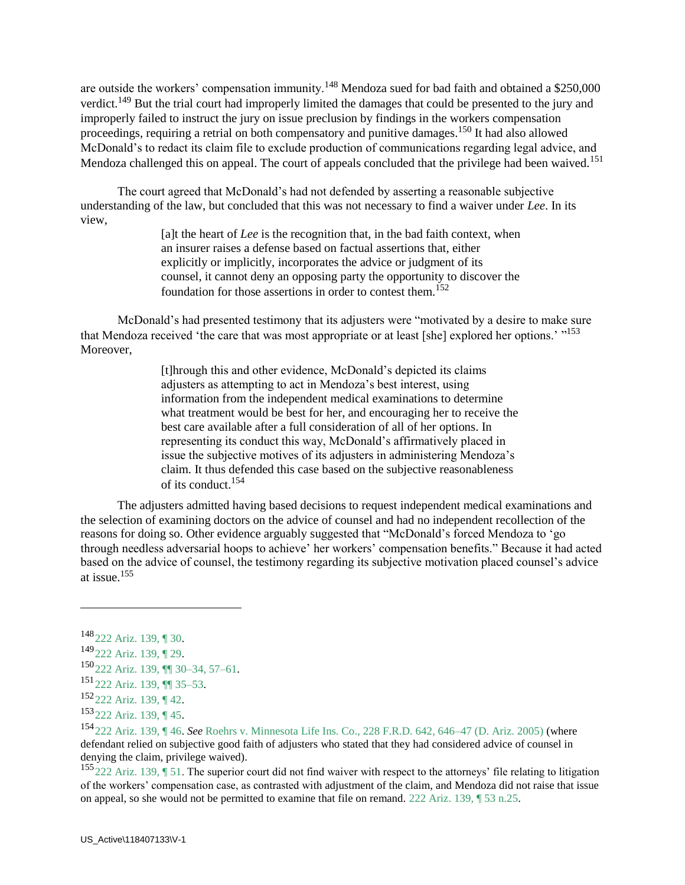are outside the workers' compensation immunity.<sup>148</sup> Mendoza sued for bad faith and obtained a \$250,000 verdict.<sup>149</sup> But the trial court had improperly limited the damages that could be presented to the jury and improperly failed to instruct the jury on issue preclusion by findings in the workers compensation proceedings, requiring a retrial on both compensatory and punitive damages.<sup>150</sup> It had also allowed McDonald's to redact its claim file to exclude production of communications regarding legal advice, and Mendoza challenged this on appeal. The court of appeals concluded that the privilege had been waived.<sup>151</sup>

 The court agreed that McDonald's had not defended by asserting a reasonable subjective understanding of the law, but concluded that this was not necessary to find a waiver under *Lee*. In its view,

> [a]t the heart of *Lee* is the recognition that, in the bad faith context, when an insurer raises a defense based on factual assertions that, either explicitly or implicitly, incorporates the advice or judgment of its counsel, it cannot deny an opposing party the opportunity to discover the foundation for those assertions in order to contest them.<sup>152</sup>

 McDonald's had presented testimony that its adjusters were "motivated by a desire to make sure that Mendoza received 'the care that was most appropriate or at least [she] explored her options.' "<sup>153</sup> Moreover,

> [t]hrough this and other evidence, McDonald's depicted its claims adjusters as attempting to act in Mendoza's best interest, using information from the independent medical examinations to determine what treatment would be best for her, and encouraging her to receive the best care available after a full consideration of all of her options. In representing its conduct this way, McDonald's affirmatively placed in issue the subjective motives of its adjusters in administering Mendoza's claim. It thus defended this case based on the subjective reasonableness of its conduct.<sup>154</sup>

 The adjusters admitted having based decisions to request independent medical examinations and the selection of examining doctors on the advice of counsel and had no independent recollection of the reasons for doing so. Other evidence arguably suggested that "McDonald's forced Mendoza to 'go through needless adversarial hoops to achieve' her workers' compensation benefits." Because it had acted based on the advice of counsel, the testimony regarding its subjective motivation placed counsel's advice at issue.<sup>155</sup>

 $\overline{a}$ 

 $^{155}$  222 Ariz. 139,  $\sqrt{51}$ . The superior court did not find waiver with respect to the attorneys' file relating to litigation of the workers' compensation case, as contrasted with adjustment of the claim, and Mendoza did not raise that issue on appeal, so she would not be permitted to examine that file on remand. 222 Ariz. 139, ¶ 53 n.25.

<sup>148</sup>222 Ariz. 139, ¶ 30.

<sup>149</sup>222 Ariz. 139, ¶ 29.

<sup>150</sup>222 Ariz. 139, ¶¶ 30–34, 57–61.

<sup>151</sup>222 Ariz. 139, ¶¶ 35–53.

 $152$  222 Ariz. 139, ¶ 42.

<sup>153</sup>222 Ariz. 139, ¶ 45.

<sup>154</sup>222 Ariz. 139, ¶ 46. *See* Roehrs v. Minnesota Life Ins. Co., 228 F.R.D. 642, 646–47 (D. Ariz. 2005) (where defendant relied on subjective good faith of adjusters who stated that they had considered advice of counsel in denying the claim, privilege waived).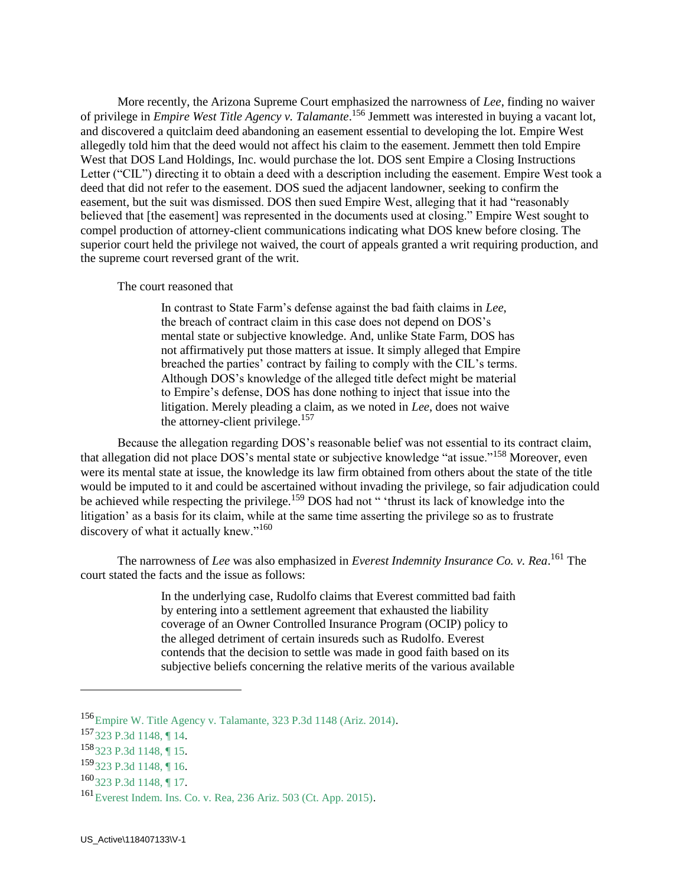More recently, the Arizona Supreme Court emphasized the narrowness of *Lee*, finding no waiver of privilege in *Empire West Title Agency v. Talamante*. <sup>156</sup> Jemmett was interested in buying a vacant lot, and discovered a quitclaim deed abandoning an easement essential to developing the lot. Empire West allegedly told him that the deed would not affect his claim to the easement. Jemmett then told Empire West that DOS Land Holdings, Inc. would purchase the lot. DOS sent Empire a Closing Instructions Letter ("CIL") directing it to obtain a deed with a description including the easement. Empire West took a deed that did not refer to the easement. DOS sued the adjacent landowner, seeking to confirm the easement, but the suit was dismissed. DOS then sued Empire West, alleging that it had "reasonably believed that [the easement] was represented in the documents used at closing." Empire West sought to compel production of attorney-client communications indicating what DOS knew before closing. The superior court held the privilege not waived, the court of appeals granted a writ requiring production, and the supreme court reversed grant of the writ.

#### The court reasoned that

In contrast to State Farm's defense against the bad faith claims in *Lee*, the breach of contract claim in this case does not depend on DOS's mental state or subjective knowledge. And, unlike State Farm, DOS has not affirmatively put those matters at issue. It simply alleged that Empire breached the parties' contract by failing to comply with the CIL's terms. Although DOS's knowledge of the alleged title defect might be material to Empire's defense, DOS has done nothing to inject that issue into the litigation. Merely pleading a claim, as we noted in *Lee*, does not waive the attorney-client privilege.<sup>157</sup>

 Because the allegation regarding DOS's reasonable belief was not essential to its contract claim, that allegation did not place DOS's mental state or subjective knowledge "at issue."<sup>158</sup> Moreover, even were its mental state at issue, the knowledge its law firm obtained from others about the state of the title would be imputed to it and could be ascertained without invading the privilege, so fair adjudication could be achieved while respecting the privilege.<sup>159</sup> DOS had not " 'thrust its lack of knowledge into the litigation' as a basis for its claim, while at the same time asserting the privilege so as to frustrate discovery of what it actually knew."<sup>160</sup>

 The narrowness of *Lee* was also emphasized in *Everest Indemnity Insurance Co. v. Rea*. <sup>161</sup> The court stated the facts and the issue as follows:

> In the underlying case, Rudolfo claims that Everest committed bad faith by entering into a settlement agreement that exhausted the liability coverage of an Owner Controlled Insurance Program (OCIP) policy to the alleged detriment of certain insureds such as Rudolfo. Everest contends that the decision to settle was made in good faith based on its subjective beliefs concerning the relative merits of the various available

<sup>156</sup>Empire W. Title Agency v. Talamante, 323 P.3d 1148 (Ariz. 2014).

<sup>157</sup>323 P.3d 1148, ¶ 14.

<sup>158</sup>323 P.3d 1148, ¶ 15.

<sup>159</sup>323 P.3d 1148, ¶ 16.

<sup>160&</sup>lt;sub>323</sub> P.3d 1148, ¶ 17.

<sup>161</sup>Everest Indem. Ins. Co. v. Rea, 236 Ariz. 503 (Ct. App. 2015).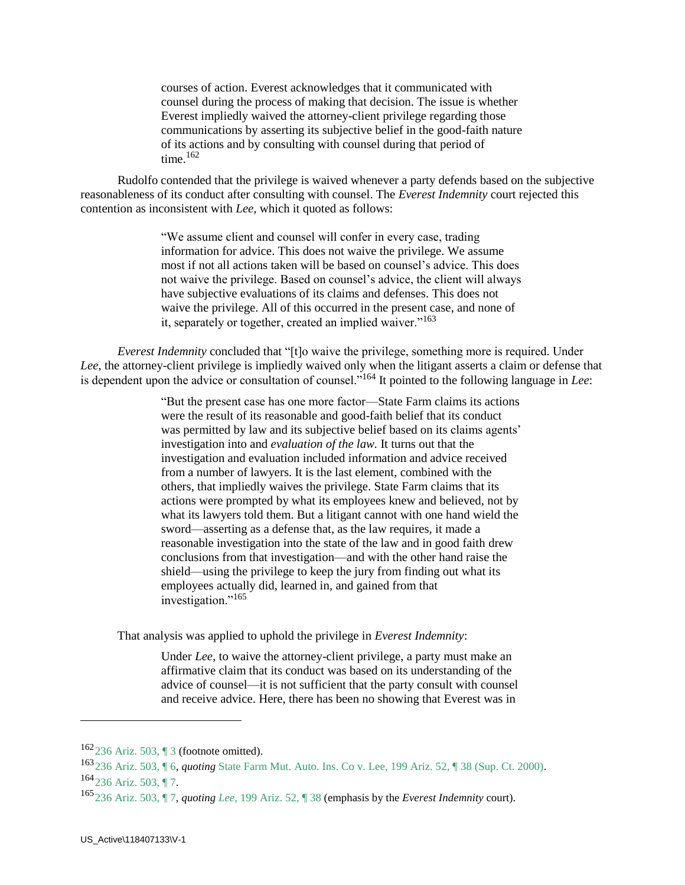courses of action. Everest acknowledges that it communicated with counsel during the process of making that decision. The issue is whether Everest impliedly waived the attorney-client privilege regarding those communications by asserting its subjective belief in the good-faith nature of its actions and by consulting with counsel during that period of time. $162$ 

 Rudolfo contended that the privilege is waived whenever a party defends based on the subjective reasonableness of its conduct after consulting with counsel. The *Everest Indemnity* court rejected this contention as inconsistent with *Lee,* which it quoted as follows:

> "We assume client and counsel will confer in every case, trading information for advice. This does not waive the privilege. We assume most if not all actions taken will be based on counsel's advice. This does not waive the privilege. Based on counsel's advice, the client will always have subjective evaluations of its claims and defenses. This does not waive the privilege. All of this occurred in the present case, and none of it, separately or together, created an implied waiver."<sup>163</sup>

 *Everest Indemnity* concluded that "[t]o waive the privilege, something more is required. Under *Lee*, the attorney-client privilege is impliedly waived only when the litigant asserts a claim or defense that is dependent upon the advice or consultation of counsel."<sup>164</sup> It pointed to the following language in *Lee*:

> "But the present case has one more factor—State Farm claims its actions were the result of its reasonable and good-faith belief that its conduct was permitted by law and its subjective belief based on its claims agents' investigation into and *evaluation of the law.* It turns out that the investigation and evaluation included information and advice received from a number of lawyers. It is the last element, combined with the others, that impliedly waives the privilege. State Farm claims that its actions were prompted by what its employees knew and believed, not by what its lawyers told them. But a litigant cannot with one hand wield the sword—asserting as a defense that, as the law requires, it made a reasonable investigation into the state of the law and in good faith drew conclusions from that investigation—and with the other hand raise the shield—using the privilege to keep the jury from finding out what its employees actually did, learned in, and gained from that investigation."<sup>165</sup>

That analysis was applied to uphold the privilege in *Everest Indemnity*:

Under *Lee*, to waive the attorney-client privilege, a party must make an affirmative claim that its conduct was based on its understanding of the advice of counsel—it is not sufficient that the party consult with counsel and receive advice. Here, there has been no showing that Everest was in

<sup>162</sup>236 Ariz. 503, ¶ 3 (footnote omitted).

<sup>163</sup>236 Ariz. 503, ¶ 6, *quoting* State Farm Mut. Auto. Ins. Co v. Lee, 199 Ariz. 52, ¶ 38 (Sup. Ct. 2000).  $164$ <sub>236</sub> Ariz. 503, ¶ 7.

<sup>165</sup>236 Ariz. 503, ¶ 7, *quoting Lee,* 199 Ariz. 52, ¶ 38 (emphasis by the *Everest Indemnity* court).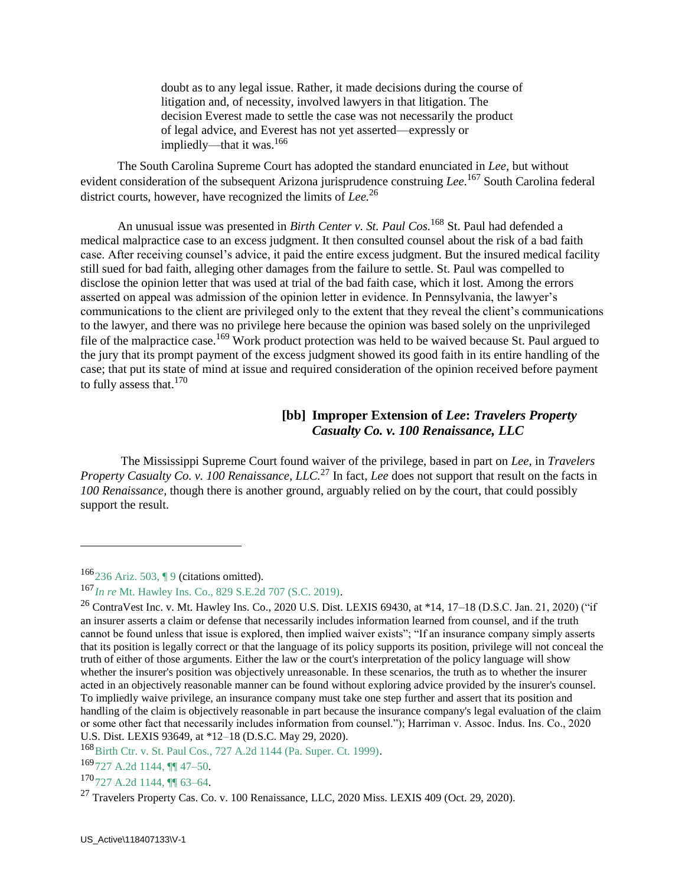doubt as to any legal issue. Rather, it made decisions during the course of litigation and, of necessity, involved lawyers in that litigation. The decision Everest made to settle the case was not necessarily the product of legal advice, and Everest has not yet asserted—expressly or impliedly—that it was.<sup>166</sup>

 The South Carolina Supreme Court has adopted the standard enunciated in *Lee,* but without evident consideration of the subsequent Arizona jurisprudence construing *Lee.*<sup>167</sup> South Carolina federal district courts, however, have recognized the limits of *Lee.*<sup>26</sup>

An unusual issue was presented in *Birth Center v. St. Paul Cos.*<sup>168</sup> St. Paul had defended a medical malpractice case to an excess judgment. It then consulted counsel about the risk of a bad faith case. After receiving counsel's advice, it paid the entire excess judgment. But the insured medical facility still sued for bad faith, alleging other damages from the failure to settle. St. Paul was compelled to disclose the opinion letter that was used at trial of the bad faith case, which it lost. Among the errors asserted on appeal was admission of the opinion letter in evidence. In Pennsylvania, the lawyer's communications to the client are privileged only to the extent that they reveal the client's communications to the lawyer, and there was no privilege here because the opinion was based solely on the unprivileged file of the malpractice case.<sup>169</sup> Work product protection was held to be waived because St. Paul argued to the jury that its prompt payment of the excess judgment showed its good faith in its entire handling of the case; that put its state of mind at issue and required consideration of the opinion received before payment to fully assess that.<sup>170</sup>

### **[bb] Improper Extension of** *Lee***:** *Travelers Property Casualty Co. v. 100 Renaissance, LLC*

The Mississippi Supreme Court found waiver of the privilege, based in part on *Lee,* in *Travelers Property Casualty Co. v. 100 Renaissance, LLC.*<sup>27</sup> In fact, *Lee* does not support that result on the facts in *100 Renaissance,* though there is another ground, arguably relied on by the court, that could possibly support the result.

 $\overline{a}$ 

168 Birth Ctr. v. St. Paul Cos., 727 A.2d 1144 (Pa. Super. Ct. 1999).

<sup>169</sup>727 A.2d 1144, ¶¶ 47–50.

<sup>170</sup>727 A.2d 1144, ¶ 63–64.

<sup>166</sup>236 Ariz. 503, ¶ 9 (citations omitted).

<sup>167</sup>*In re* Mt. Hawley Ins. Co., 829 S.E.2d 707 (S.C. 2019).

<sup>&</sup>lt;sup>26</sup> ContraVest Inc. v. Mt. Hawley Ins. Co., 2020 U.S. Dist. LEXIS 69430, at \*14, 17–18 (D.S.C. Jan. 21, 2020) ("if an insurer asserts a claim or defense that necessarily includes information learned from counsel, and if the truth cannot be found unless that issue is explored, then implied waiver exists"; "If an insurance company simply asserts that its position is legally correct or that the language of its policy supports its position, privilege will not conceal the truth of either of those arguments. Either the law or the court's interpretation of the policy language will show whether the insurer's position was objectively unreasonable. In these scenarios, the truth as to whether the insurer acted in an objectively reasonable manner can be found without exploring advice provided by the insurer's counsel. To impliedly waive privilege, an insurance company must take one step further and assert that its position and handling of the claim is objectively reasonable in part because the insurance company's legal evaluation of the claim or some other fact that necessarily includes information from counsel."); Harriman v. Assoc. Indus. Ins. Co., 2020 U.S. Dist. LEXIS 93649, at \*12–18 (D.S.C. May 29, 2020).

 $^{27}$  Travelers Property Cas. Co. v. 100 Renaissance, LLC, 2020 Miss. LEXIS 409 (Oct. 29, 2020).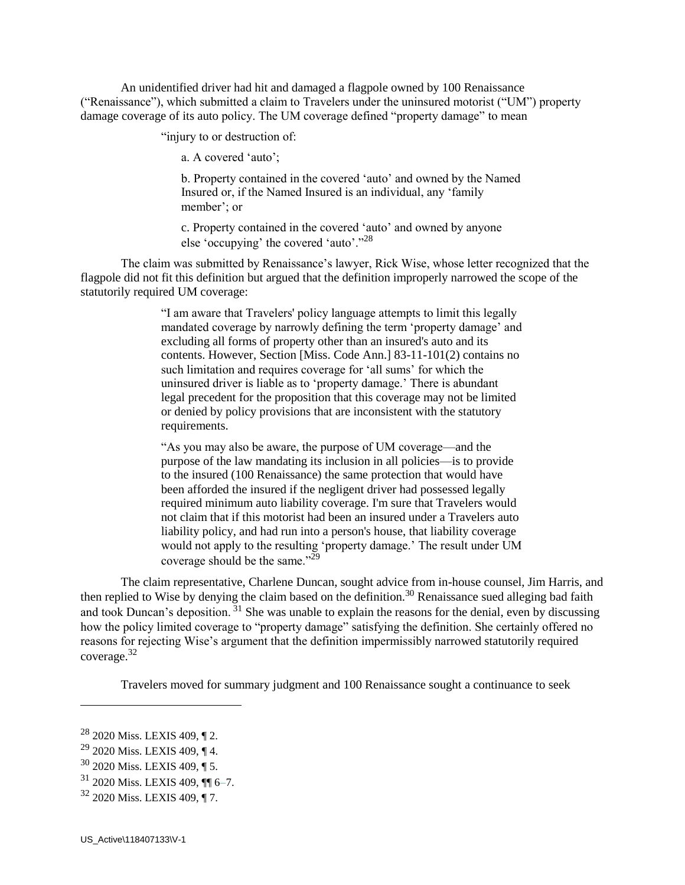An unidentified driver had hit and damaged a flagpole owned by 100 Renaissance ("Renaissance"), which submitted a claim to Travelers under the uninsured motorist ("UM") property damage coverage of its auto policy. The UM coverage defined "property damage" to mean

"injury to or destruction of:

a. A covered 'auto';

b. Property contained in the covered 'auto' and owned by the Named Insured or, if the Named Insured is an individual, any 'family member'; or

c. Property contained in the covered 'auto' and owned by anyone else 'occupying' the covered 'auto'."<sup>28</sup>

The claim was submitted by Renaissance's lawyer, Rick Wise, whose letter recognized that the flagpole did not fit this definition but argued that the definition improperly narrowed the scope of the statutorily required UM coverage:

> "I am aware that Travelers' policy language attempts to limit this legally mandated coverage by narrowly defining the term 'property damage' and excluding all forms of property other than an insured's auto and its contents. However, Section [Miss. Code Ann.] 83-11-101(2) contains no such limitation and requires coverage for 'all sums' for which the uninsured driver is liable as to 'property damage.' There is abundant legal precedent for the proposition that this coverage may not be limited or denied by policy provisions that are inconsistent with the statutory requirements.

> "As you may also be aware, the purpose of UM coverage—and the purpose of the law mandating its inclusion in all policies—is to provide to the insured (100 Renaissance) the same protection that would have been afforded the insured if the negligent driver had possessed legally required minimum auto liability coverage. I'm sure that Travelers would not claim that if this motorist had been an insured under a Travelers auto liability policy, and had run into a person's house, that liability coverage would not apply to the resulting 'property damage.' The result under UM coverage should be the same." $^{29}$

The claim representative, Charlene Duncan, sought advice from in-house counsel, Jim Harris, and then replied to Wise by denying the claim based on the definition.<sup>30</sup> Renaissance sued alleging bad faith and took Duncan's deposition. <sup>31</sup> She was unable to explain the reasons for the denial, even by discussing how the policy limited coverage to "property damage" satisfying the definition. She certainly offered no reasons for rejecting Wise's argument that the definition impermissibly narrowed statutorily required coverage.<sup>32</sup>

Travelers moved for summary judgment and 100 Renaissance sought a continuance to seek

<sup>28</sup> 2020 Miss. LEXIS 409, ¶ 2.

<sup>29</sup> 2020 Miss. LEXIS 409, ¶ 4.

<sup>30</sup> 2020 Miss. LEXIS 409, ¶ 5.

<sup>31</sup> 2020 Miss. LEXIS 409, ¶¶ 6–7.

<sup>32</sup> 2020 Miss. LEXIS 409, ¶ 7.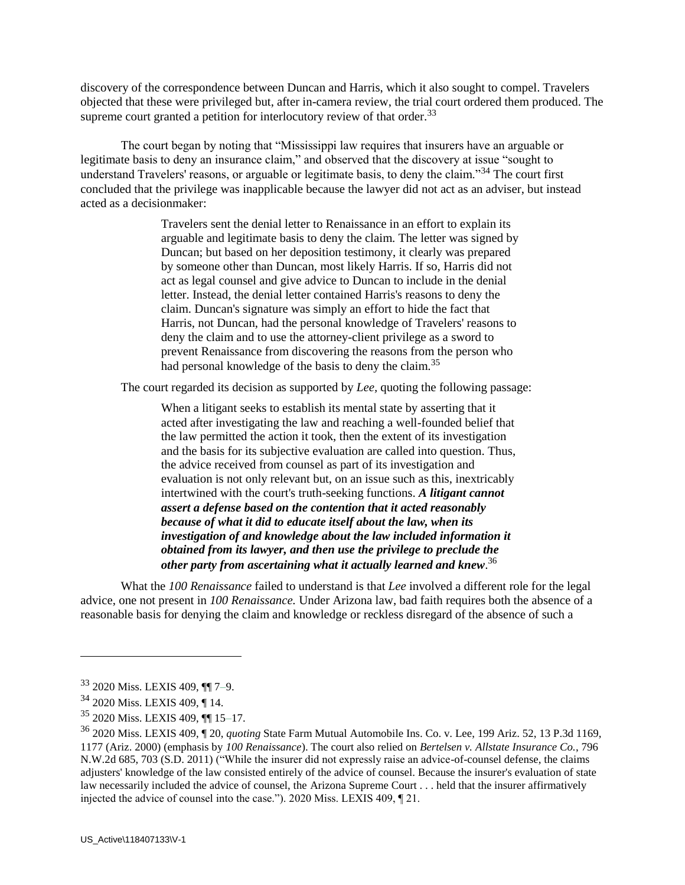discovery of the correspondence between Duncan and Harris, which it also sought to compel. Travelers objected that these were privileged but, after in-camera review, the trial court ordered them produced. The supreme court granted a petition for interlocutory review of that order.<sup>33</sup>

The court began by noting that "Mississippi law requires that insurers have an arguable or legitimate basis to deny an insurance claim," and observed that the discovery at issue "sought to understand Travelers' reasons, or arguable or legitimate basis, to deny the claim."<sup>34</sup> The court first concluded that the privilege was inapplicable because the lawyer did not act as an adviser, but instead acted as a decisionmaker:

> Travelers sent the denial letter to Renaissance in an effort to explain its arguable and legitimate basis to deny the claim. The letter was signed by Duncan; but based on her deposition testimony, it clearly was prepared by someone other than Duncan, most likely Harris. If so, Harris did not act as legal counsel and give advice to Duncan to include in the denial letter. Instead, the denial letter contained Harris's reasons to deny the claim. Duncan's signature was simply an effort to hide the fact that Harris, not Duncan, had the personal knowledge of Travelers' reasons to deny the claim and to use the attorney-client privilege as a sword to prevent Renaissance from discovering the reasons from the person who had personal knowledge of the basis to deny the claim.<sup>35</sup>

The court regarded its decision as supported by *Lee,* quoting the following passage:

When a litigant seeks to establish its mental state by asserting that it acted after investigating the law and reaching a well-founded belief that the law permitted the action it took, then the extent of its investigation and the basis for its subjective evaluation are called into question. Thus, the advice received from counsel as part of its investigation and evaluation is not only relevant but, on an issue such as this, inextricably intertwined with the court's truth-seeking functions. *A litigant cannot assert a defense based on the contention that it acted reasonably because of what it did to educate itself about the law, when its investigation of and knowledge about the law included information it obtained from its lawyer, and then use the privilege to preclude the other party from ascertaining what it actually learned and knew*. 36

What the *100 Renaissance* failed to understand is that *Lee* involved a different role for the legal advice, one not present in *100 Renaissance.* Under Arizona law, bad faith requires both the absence of a reasonable basis for denying the claim and knowledge or reckless disregard of the absence of such a

<sup>33</sup> 2020 Miss. LEXIS 409, ¶¶ 7–9.

<sup>34</sup> 2020 Miss. LEXIS 409, ¶ 14.

<sup>35</sup> 2020 Miss. LEXIS 409, ¶¶ 15–17.

<sup>36</sup> 2020 Miss. LEXIS 409, ¶ 20, *quoting* State Farm Mutual Automobile Ins. Co. v. Lee, 199 Ariz. 52, 13 P.3d 1169, 1177 (Ariz. 2000) (emphasis by *100 Renaissance*). The court also relied on *[Bertelsen v. Allstate Insurance Co.](https://advance.lexis.com/search/?pdmfid=1000516&crid=3cfd845e-f405-4083-8308-eb7ddb1cc87d&pdsearchterms=Travelers+Prop.+Cas.+Co.+of+Am.+v.+100+Renaissance%2C+LLC%2C+2020+Miss.+LEXIS+409&pdtypeofsearch=searchboxclick&pdsearchtype=SearchBox&pdstartin=&pdpsf=&pdqttype=and&pdquerytemplateid=&ecomp=pys5kkk&earg=pdsf&prid=95e7c7ee-ebe7-448b-a3ba-438faebf0f95)*, 796 [N.W.2d 685, 703 \(S.D. 2011\)](https://advance.lexis.com/search/?pdmfid=1000516&crid=3cfd845e-f405-4083-8308-eb7ddb1cc87d&pdsearchterms=Travelers+Prop.+Cas.+Co.+of+Am.+v.+100+Renaissance%2C+LLC%2C+2020+Miss.+LEXIS+409&pdtypeofsearch=searchboxclick&pdsearchtype=SearchBox&pdstartin=&pdpsf=&pdqttype=and&pdquerytemplateid=&ecomp=pys5kkk&earg=pdsf&prid=95e7c7ee-ebe7-448b-a3ba-438faebf0f95) ("While the insurer did not expressly raise an advice-of-counsel defense, the claims adjusters' knowledge of the law consisted entirely of the advice of counsel. Because the insurer's evaluation of state law necessarily included the advice of counsel, the Arizona Supreme Court . . . held that the insurer affirmatively injected the advice of counsel into the case."). 2020 Miss. LEXIS 409, ¶ 21.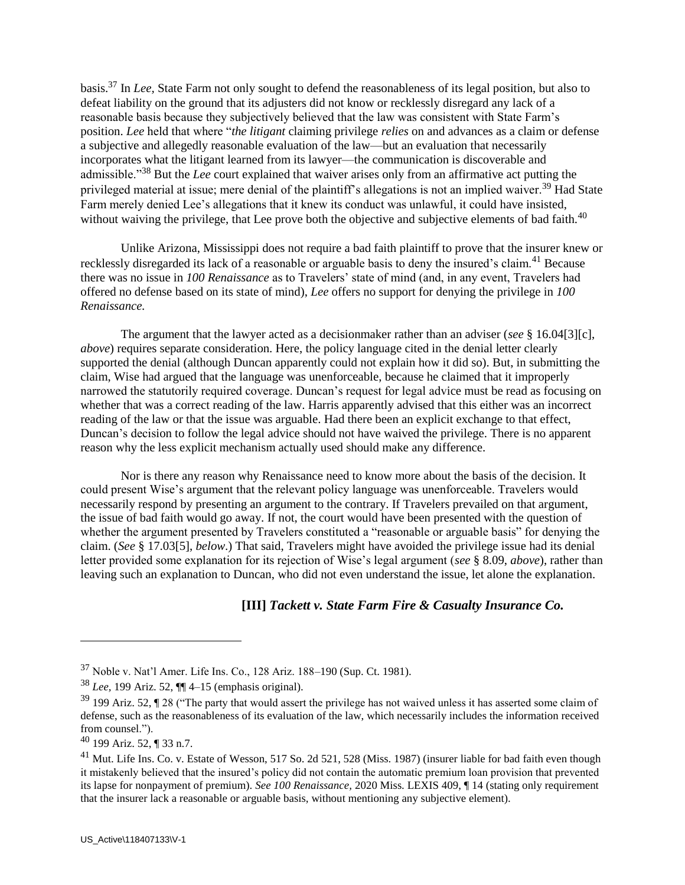basis.<sup>37</sup> In *Lee,* State Farm not only sought to defend the reasonableness of its legal position, but also to defeat liability on the ground that its adjusters did not know or recklessly disregard any lack of a reasonable basis because they subjectively believed that the law was consistent with State Farm's position. *Lee* held that where "*the litigant* claiming privilege *relies* on and advances as a claim or defense a subjective and allegedly reasonable evaluation of the law—but an evaluation that necessarily incorporates what the litigant learned from its lawyer—the communication is discoverable and admissible."<sup>38</sup> But the *Lee* court explained that waiver arises only from an affirmative act putting the privileged material at issue; mere denial of the plaintiff's allegations is not an implied waiver.<sup>39</sup> Had State Farm merely denied Lee's allegations that it knew its conduct was unlawful, it could have insisted, without waiving the privilege, that Lee prove both the objective and subjective elements of bad faith.<sup>40</sup>

Unlike Arizona, Mississippi does not require a bad faith plaintiff to prove that the insurer knew or recklessly disregarded its lack of a reasonable or arguable basis to deny the insured's claim.<sup>41</sup> Because there was no issue in *100 Renaissance* as to Travelers' state of mind (and, in any event, Travelers had offered no defense based on its state of mind), *Lee* offers no support for denying the privilege in *100 Renaissance.*

The argument that the lawyer acted as a decisionmaker rather than an adviser (*see* § 16.04[3][c], *above*) requires separate consideration. Here, the policy language cited in the denial letter clearly supported the denial (although Duncan apparently could not explain how it did so). But, in submitting the claim, Wise had argued that the language was unenforceable, because he claimed that it improperly narrowed the statutorily required coverage. Duncan's request for legal advice must be read as focusing on whether that was a correct reading of the law. Harris apparently advised that this either was an incorrect reading of the law or that the issue was arguable. Had there been an explicit exchange to that effect, Duncan's decision to follow the legal advice should not have waived the privilege. There is no apparent reason why the less explicit mechanism actually used should make any difference.

Nor is there any reason why Renaissance need to know more about the basis of the decision. It could present Wise's argument that the relevant policy language was unenforceable. Travelers would necessarily respond by presenting an argument to the contrary. If Travelers prevailed on that argument, the issue of bad faith would go away. If not, the court would have been presented with the question of whether the argument presented by Travelers constituted a "reasonable or arguable basis" for denying the claim. (*See* § 17.03[5], *below*.) That said, Travelers might have avoided the privilege issue had its denial letter provided some explanation for its rejection of Wise's legal argument (*see* § 8.09, *above*), rather than leaving such an explanation to Duncan, who did not even understand the issue, let alone the explanation.

### **[III]** *Tackett v. State Farm Fire & Casualty Insurance Co.*

<sup>37</sup> Noble v. Nat'l Amer. Life Ins. Co., 128 Ariz. 188–190 (Sup. Ct. 1981).

<sup>38</sup> *Lee,* 199 Ariz. 52, ¶¶ 4–15 (emphasis original).

 $39$  199 Ariz. 52,  $\P$  28 ("The party that would assert the privilege has not waived unless it has asserted some claim of defense, such as the reasonableness of its evaluation of the law, which necessarily includes the information received from counsel.").

<sup>40</sup> 199 Ariz. 52, ¶ 33 n.7.

<sup>&</sup>lt;sup>41</sup> Mut. Life Ins. Co. v. Estate of Wesson, 517 So. 2d 521, 528 (Miss. 1987) (insurer liable for bad faith even though it mistakenly believed that the insured's policy did not contain the automatic premium loan provision that prevented its lapse for nonpayment of premium). *See 100 Renaissance,* 2020 Miss. LEXIS 409, ¶ 14 (stating only requirement that the insurer lack a reasonable or arguable basis, without mentioning any subjective element).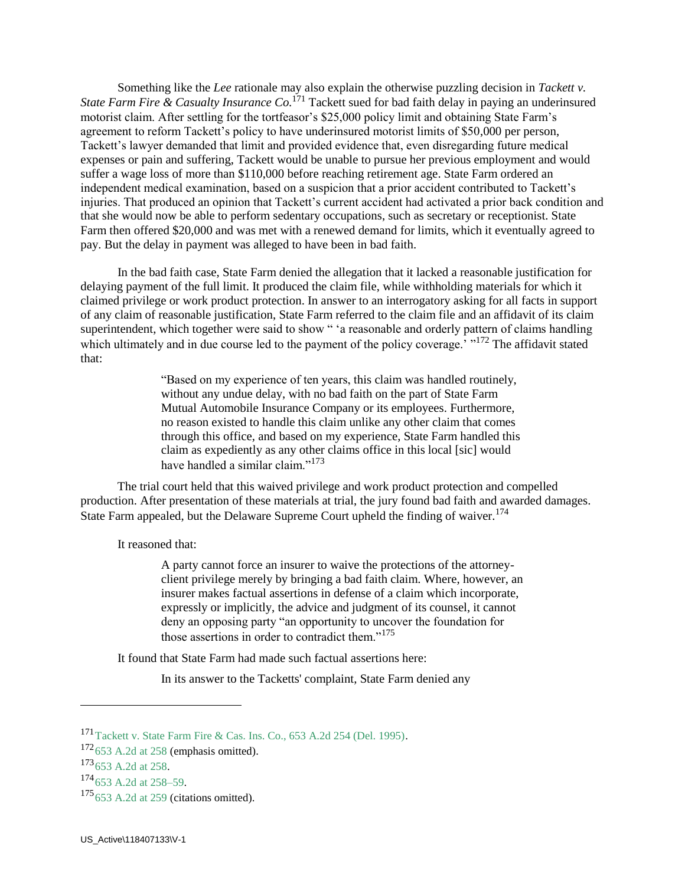Something like the *Lee* rationale may also explain the otherwise puzzling decision in *Tackett v. State Farm Fire & Casualty Insurance Co.*<sup>171</sup> Tackett sued for bad faith delay in paying an underinsured motorist claim. After settling for the tortfeasor's \$25,000 policy limit and obtaining State Farm's agreement to reform Tackett's policy to have underinsured motorist limits of \$50,000 per person, Tackett's lawyer demanded that limit and provided evidence that, even disregarding future medical expenses or pain and suffering, Tackett would be unable to pursue her previous employment and would suffer a wage loss of more than \$110,000 before reaching retirement age. State Farm ordered an independent medical examination, based on a suspicion that a prior accident contributed to Tackett's injuries. That produced an opinion that Tackett's current accident had activated a prior back condition and that she would now be able to perform sedentary occupations, such as secretary or receptionist. State Farm then offered \$20,000 and was met with a renewed demand for limits, which it eventually agreed to pay. But the delay in payment was alleged to have been in bad faith.

 In the bad faith case, State Farm denied the allegation that it lacked a reasonable justification for delaying payment of the full limit. It produced the claim file, while withholding materials for which it claimed privilege or work product protection. In answer to an interrogatory asking for all facts in support of any claim of reasonable justification, State Farm referred to the claim file and an affidavit of its claim superintendent, which together were said to show " 'a reasonable and orderly pattern of claims handling which ultimately and in due course led to the payment of the policy coverage.<sup>'</sup> "<sup>172</sup> The affidavit stated that:

> "Based on my experience of ten years, this claim was handled routinely, without any undue delay, with no bad faith on the part of State Farm Mutual Automobile Insurance Company or its employees. Furthermore, no reason existed to handle this claim unlike any other claim that comes through this office, and based on my experience, State Farm handled this claim as expediently as any other claims office in this local [sic] would have handled a similar claim."<sup>173</sup>

 The trial court held that this waived privilege and work product protection and compelled production. After presentation of these materials at trial, the jury found bad faith and awarded damages. State Farm appealed, but the Delaware Supreme Court upheld the finding of waiver.<sup>174</sup>

It reasoned that:

A party cannot force an insurer to waive the protections of the attorneyclient privilege merely by bringing a bad faith claim. Where, however, an insurer makes factual assertions in defense of a claim which incorporate, expressly or implicitly, the advice and judgment of its counsel, it cannot deny an opposing party "an opportunity to uncover the foundation for those assertions in order to contradict them."<sup>175</sup>

It found that State Farm had made such factual assertions here:

In its answer to the Tacketts' complaint, State Farm denied any

<sup>171</sup>Tackett v. State Farm Fire & Cas. Ins. Co., 653 A.2d 254 (Del. 1995).

 $172$  653 A.2d at 258 (emphasis omitted).

<sup>173&</sup>lt;sub>653</sub> A.2d at 258.

 $174$  653 A.2d at 258–59.

 $175653$  A.2d at 259 (citations omitted).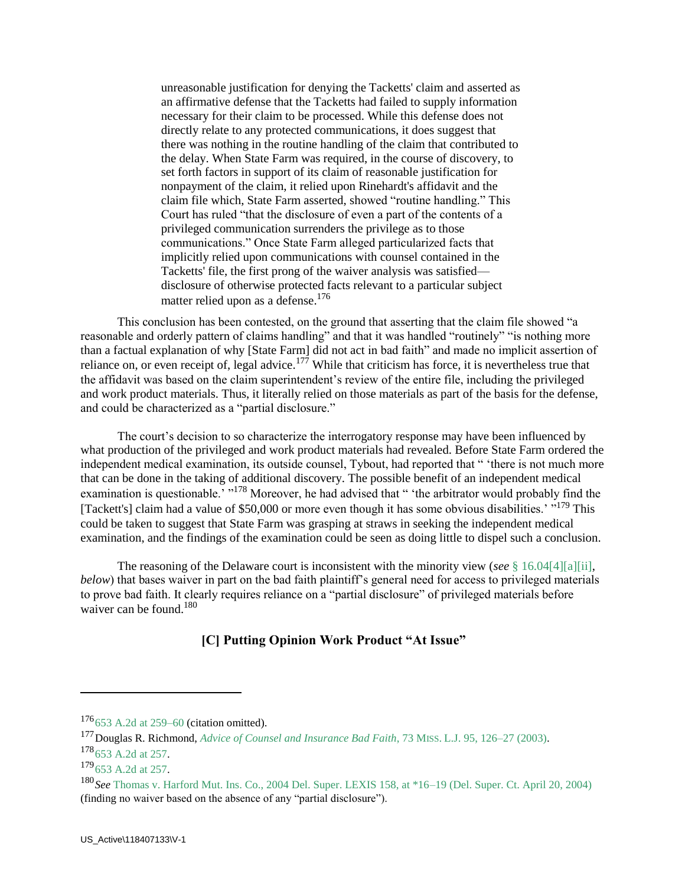unreasonable justification for denying the Tacketts' claim and asserted as an affirmative defense that the Tacketts had failed to supply information necessary for their claim to be processed. While this defense does not directly relate to any protected communications, it does suggest that there was nothing in the routine handling of the claim that contributed to the delay. When State Farm was required, in the course of discovery, to set forth factors in support of its claim of reasonable justification for nonpayment of the claim, it relied upon Rinehardt's affidavit and the claim file which, State Farm asserted, showed "routine handling." This Court has ruled "that the disclosure of even a part of the contents of a privileged communication surrenders the privilege as to those communications." Once State Farm alleged particularized facts that implicitly relied upon communications with counsel contained in the Tacketts' file, the first prong of the waiver analysis was satisfied disclosure of otherwise protected facts relevant to a particular subject matter relied upon as a defense.<sup>176</sup>

 This conclusion has been contested, on the ground that asserting that the claim file showed "a reasonable and orderly pattern of claims handling" and that it was handled "routinely" "is nothing more than a factual explanation of why [State Farm] did not act in bad faith" and made no implicit assertion of reliance on, or even receipt of, legal advice.<sup>177</sup> While that criticism has force, it is nevertheless true that the affidavit was based on the claim superintendent's review of the entire file, including the privileged and work product materials. Thus, it literally relied on those materials as part of the basis for the defense, and could be characterized as a "partial disclosure."

 The court's decision to so characterize the interrogatory response may have been influenced by what production of the privileged and work product materials had revealed. Before State Farm ordered the independent medical examination, its outside counsel, Tybout, had reported that " 'there is not much more that can be done in the taking of additional discovery. The possible benefit of an independent medical examination is questionable.<sup>'</sup> "<sup>178</sup> Moreover, he had advised that " 'the arbitrator would probably find the [Tackett's] claim had a value of \$50,000 or more even though it has some obvious disabilities.' "<sup>179</sup> This could be taken to suggest that State Farm was grasping at straws in seeking the independent medical examination, and the findings of the examination could be seen as doing little to dispel such a conclusion.

 The reasoning of the Delaware court is inconsistent with the minority view (*see* § 16.04[4][a][ii], *below*) that bases waiver in part on the bad faith plaintiff's general need for access to privileged materials to prove bad faith. It clearly requires reliance on a "partial disclosure" of privileged materials before waiver can be found.<sup>180</sup>

### **[C] Putting Opinion Work Product "At Issue"**

 $176653$  A.2d at 259–60 (citation omitted).

<sup>177</sup>Douglas R. Richmond, *Advice of Counsel and Insurance Bad Faith*, 73 MISS. L.J. 95, 126–27 (2003).  $178$  653 A.2d at 257.

<sup>179&</sup>lt;sub>653</sub> A.2d at 257.

<sup>180</sup>*See* Thomas v. Harford Mut. Ins. Co., 2004 Del. Super. LEXIS 158, at \*16–19 (Del. Super. Ct. April 20, 2004) (finding no waiver based on the absence of any "partial disclosure").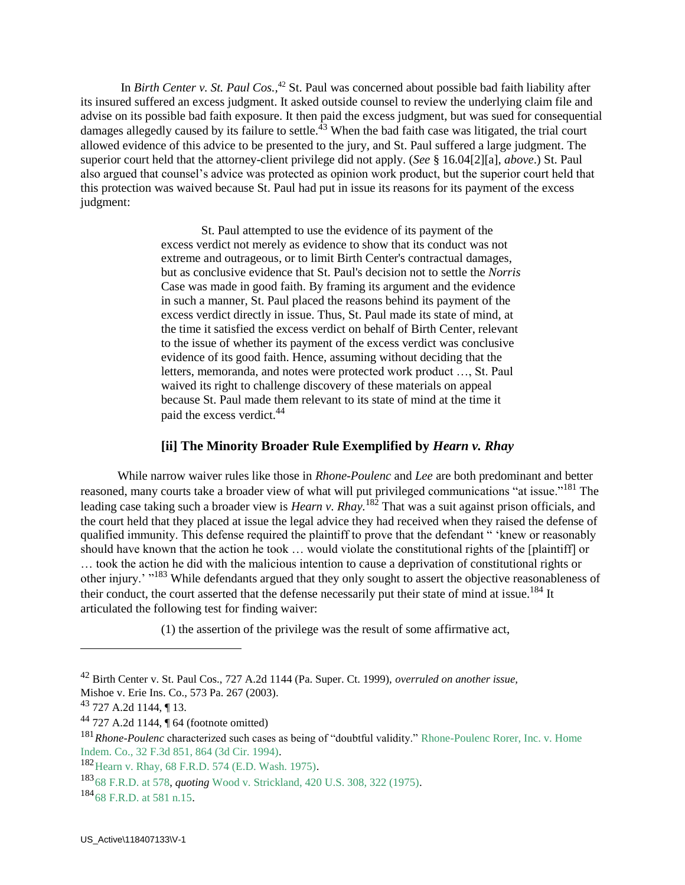In *Birth Center v. St. Paul Cos.,*<sup>42</sup> St. Paul was concerned about possible bad faith liability after its insured suffered an excess judgment. It asked outside counsel to review the underlying claim file and advise on its possible bad faith exposure. It then paid the excess judgment, but was sued for consequential damages allegedly caused by its failure to settle.<sup> $43$ </sup> When the bad faith case was litigated, the trial court allowed evidence of this advice to be presented to the jury, and St. Paul suffered a large judgment. The superior court held that the attorney-client privilege did not apply. (*See* § 16.04[2][a], *above*.) St. Paul also argued that counsel's advice was protected as opinion work product, but the superior court held that this protection was waived because St. Paul had put in issue its reasons for its payment of the excess judgment:

> St. Paul attempted to use the evidence of its payment of the excess verdict not merely as evidence to show that its conduct was not extreme and outrageous, or to limit Birth Center's contractual damages, but as conclusive evidence that St. Paul's decision not to settle the *Norris* Case was made in good faith. By framing its argument and the evidence in such a manner, St. Paul placed the reasons behind its payment of the excess verdict directly in issue. Thus, St. Paul made its state of mind, at the time it satisfied the excess verdict on behalf of Birth Center, relevant to the issue of whether its payment of the excess verdict was conclusive evidence of its good faith. Hence, assuming without deciding that the letters, memoranda, and notes were protected work product …, St. Paul waived its right to challenge discovery of these materials on appeal because St. Paul made them relevant to its state of mind at the time it paid the excess verdict.<sup>44</sup>

### **[ii] The Minority Broader Rule Exemplified by** *Hearn v. Rhay*

 While narrow waiver rules like those in *Rhone-Poulenc* and *Lee* are both predominant and better reasoned, many courts take a broader view of what will put privileged communications "at issue."<sup>181</sup> The leading case taking such a broader view is *Hearn v. Rhay.*<sup>182</sup> That was a suit against prison officials, and the court held that they placed at issue the legal advice they had received when they raised the defense of qualified immunity. This defense required the plaintiff to prove that the defendant " 'knew or reasonably should have known that the action he took … would violate the constitutional rights of the [plaintiff] or … took the action he did with the malicious intention to cause a deprivation of constitutional rights or other injury.' "<sup>183</sup> While defendants argued that they only sought to assert the objective reasonableness of their conduct, the court asserted that the defense necessarily put their state of mind at issue.<sup>184</sup> It articulated the following test for finding waiver:

(1) the assertion of the privilege was the result of some affirmative act,

<sup>42</sup> Birth Center v. St. Paul Cos., 727 A.2d 1144 (Pa. Super. Ct. 1999), *overruled on another issue,*  Mishoe v. Erie Ins. Co., 573 Pa. 267 (2003).

<sup>43</sup> 727 A.2d 1144, ¶ 13.

 $44$  727 A.2d 1144,  $\P$  64 (footnote omitted)

<sup>181</sup>*Rhone-Poulenc* characterized such cases as being of "doubtful validity." Rhone-Poulenc Rorer, Inc. v. Home Indem. Co., 32 F.3d 851, 864 (3d Cir. 1994).

<sup>182</sup>Hearn v. Rhay, 68 F.R.D. 574 (E.D. Wash. 1975).

<sup>183</sup>68 F.R.D. at 578, *quoting* Wood v. Strickland, 420 U.S. 308, 322 (1975).

<sup>184&</sup>lt;sub>68</sub> F.R.D. at 581 n.15.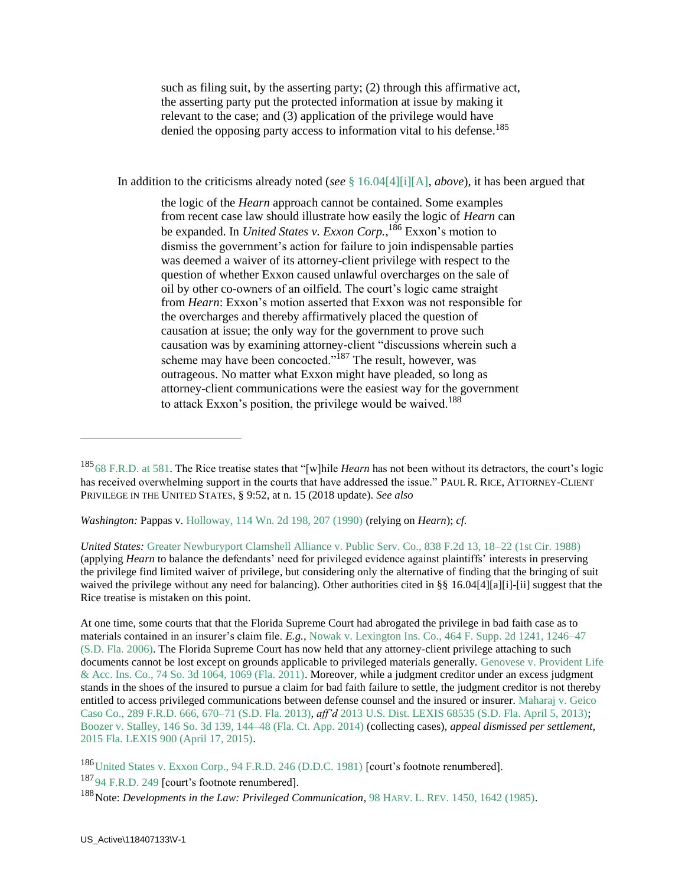such as filing suit, by the asserting party; (2) through this affirmative act, the asserting party put the protected information at issue by making it relevant to the case; and (3) application of the privilege would have denied the opposing party access to information vital to his defense.<sup>185</sup>

In addition to the criticisms already noted (*see* § 16.04[4][i][A], *above*), it has been argued that

the logic of the *Hearn* approach cannot be contained. Some examples from recent case law should illustrate how easily the logic of *Hearn* can be expanded. In *United States v. Exxon Corp.*, <sup>186</sup> Exxon's motion to dismiss the government's action for failure to join indispensable parties was deemed a waiver of its attorney-client privilege with respect to the question of whether Exxon caused unlawful overcharges on the sale of oil by other co-owners of an oilfield. The court's logic came straight from *Hearn*: Exxon's motion asserted that Exxon was not responsible for the overcharges and thereby affirmatively placed the question of causation at issue; the only way for the government to prove such causation was by examining attorney-client "discussions wherein such a scheme may have been concocted."<sup>187</sup> The result, however, was outrageous. No matter what Exxon might have pleaded, so long as attorney-client communications were the easiest way for the government to attack Exxon's position, the privilege would be waived.<sup>188</sup>

*Washington:* Pappas v. Holloway, 114 Wn. 2d 198, 207 (1990) (relying on *Hearn*); *cf.*

*United States:* Greater Newburyport Clamshell Alliance v. Public Serv. Co., 838 F.2d 13, 18–22 (1st Cir. 1988) (applying *Hearn* to balance the defendants' need for privileged evidence against plaintiffs' interests in preserving the privilege find limited waiver of privilege, but considering only the alternative of finding that the bringing of suit waived the privilege without any need for balancing). Other authorities cited in §§ 16.04[4][a][i]-[ii] suggest that the Rice treatise is mistaken on this point.

At one time, some courts that that the Florida Supreme Court had abrogated the privilege in bad faith case as to materials contained in an insurer's claim file. *E.g.*, Nowak v. Lexington Ins. Co., 464 F. Supp. 2d 1241, 1246–47 (S.D. Fla. 2006). The Florida Supreme Court has now held that any attorney-client privilege attaching to such documents cannot be lost except on grounds applicable to privileged materials generally. Genovese v. Provident Life & Acc. Ins. Co., 74 So. 3d 1064, 1069 (Fla. 2011). Moreover, while a judgment creditor under an excess judgment stands in the shoes of the insured to pursue a claim for bad faith failure to settle, the judgment creditor is not thereby entitled to access privileged communications between defense counsel and the insured or insurer. Maharaj v. Geico Caso Co., 289 F.R.D. 666, 670–71 (S.D. Fla. 2013), *aff'd* 2013 U.S. Dist. LEXIS 68535 (S.D. Fla. April 5, 2013); Boozer v. Stalley, 146 So. 3d 139, 144–48 (Fla. Ct. App. 2014) (collecting cases), *appeal dismissed per settlement,* 2015 Fla. LEXIS 900 (April 17, 2015).

186 United States v. Exxon Corp., 94 F.R.D. 246 (D.D.C. 1981) [court's footnote renumbered]. <sup>187</sup>94 F.R.D. 249 [court's footnote renumbered]. <sup>188</sup>Note: *Developments in the Law: Privileged Communication*, 98 HARV. L. REV. 1450, 1642 (1985).

<sup>185</sup>68 F.R.D. at 581. The Rice treatise states that "[w]hile *Hearn* has not been without its detractors, the court's logic has received overwhelming support in the courts that have addressed the issue." PAUL R. RICE, ATTORNEY-CLIENT PRIVILEGE IN THE UNITED STATES, § 9:52, at n. 15 (2018 update). *See also*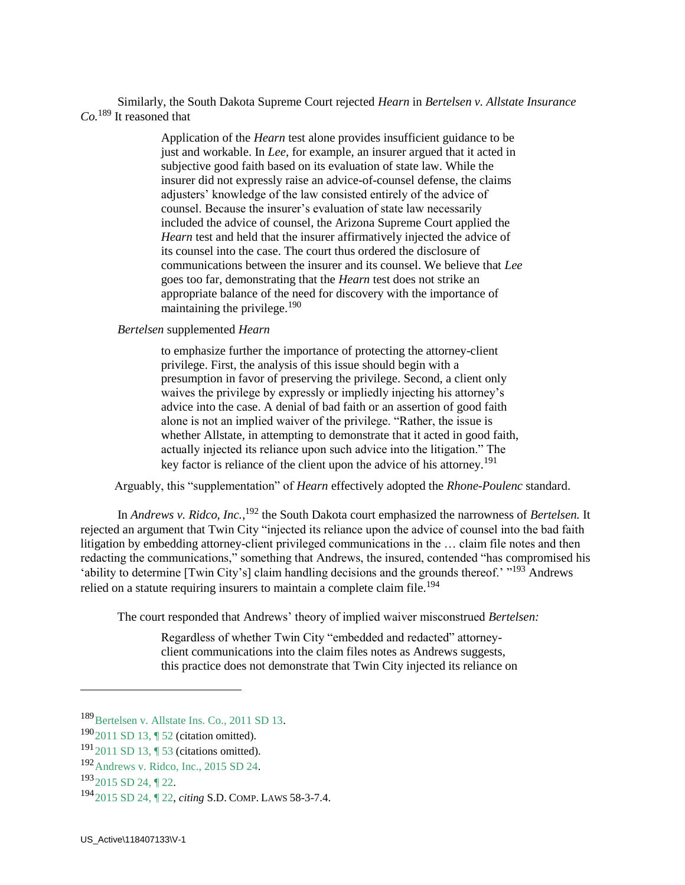Similarly, the South Dakota Supreme Court rejected *Hearn* in *Bertelsen v. Allstate Insurance Co.*<sup>189</sup> It reasoned that

> Application of the *Hearn* test alone provides insufficient guidance to be just and workable. In *Lee*, for example, an insurer argued that it acted in subjective good faith based on its evaluation of state law. While the insurer did not expressly raise an advice-of-counsel defense, the claims adjusters' knowledge of the law consisted entirely of the advice of counsel. Because the insurer's evaluation of state law necessarily included the advice of counsel, the Arizona Supreme Court applied the *Hearn* test and held that the insurer affirmatively injected the advice of its counsel into the case. The court thus ordered the disclosure of communications between the insurer and its counsel. We believe that *Lee* goes too far, demonstrating that the *Hearn* test does not strike an appropriate balance of the need for discovery with the importance of maintaining the privilege.<sup>190</sup>

*Bertelsen* supplemented *Hearn*

to emphasize further the importance of protecting the attorney-client privilege. First, the analysis of this issue should begin with a presumption in favor of preserving the privilege. Second, a client only waives the privilege by expressly or impliedly injecting his attorney's advice into the case. A denial of bad faith or an assertion of good faith alone is not an implied waiver of the privilege. "Rather, the issue is whether Allstate, in attempting to demonstrate that it acted in good faith, actually injected its reliance upon such advice into the litigation." The key factor is reliance of the client upon the advice of his attorney.<sup>191</sup>

Arguably, this "supplementation" of *Hearn* effectively adopted the *Rhone-Poulenc* standard.

In *Andrews v. Ridco, Inc.*, <sup>192</sup> the South Dakota court emphasized the narrowness of *Bertelsen*. It rejected an argument that Twin City "injected its reliance upon the advice of counsel into the bad faith litigation by embedding attorney-client privileged communications in the … claim file notes and then redacting the communications," something that Andrews, the insured, contended "has compromised his 'ability to determine [Twin City's] claim handling decisions and the grounds thereof.' "<sup>193</sup> Andrews relied on a statute requiring insurers to maintain a complete claim file.<sup>194</sup>

The court responded that Andrews' theory of implied waiver misconstrued *Bertelsen:*

Regardless of whether Twin City "embedded and redacted" attorneyclient communications into the claim files notes as Andrews suggests, this practice does not demonstrate that Twin City injected its reliance on

<sup>189</sup> Bertelsen v. Allstate Ins. Co., 2011 SD 13.

<sup>190</sup>2011 SD 13, ¶ 52 (citation omitted).

<sup>191</sup>2011 SD 13, ¶ 53 (citations omitted).

<sup>192</sup>Andrews v. Ridco, Inc., 2015 SD 24.

 $193$  2015 SD 24, 122.

<sup>194</sup>2015 SD 24, ¶ 22, *citing* S.D. COMP. LAWS 58-3-7.4.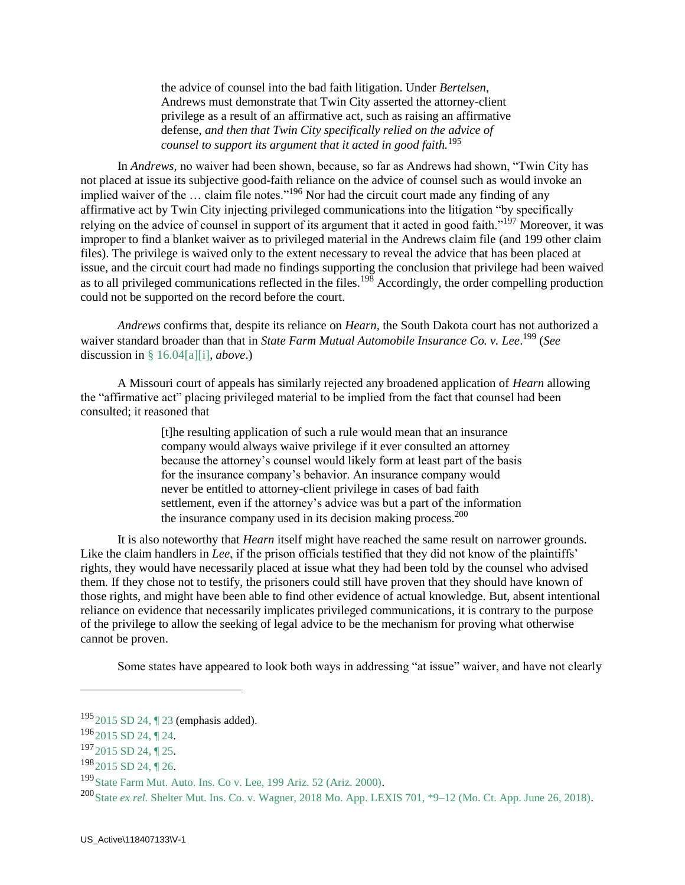the advice of counsel into the bad faith litigation. Under *Bertelsen*, Andrews must demonstrate that Twin City asserted the attorney-client privilege as a result of an affirmative act, such as raising an affirmative defense, *and then that Twin City specifically relied on the advice of counsel to support its argument that it acted in good faith.*<sup>195</sup>

 In *Andrews,* no waiver had been shown, because, so far as Andrews had shown, "Twin City has not placed at issue its subjective good-faith reliance on the advice of counsel such as would invoke an implied waiver of the ... claim file notes."<sup>196</sup> Nor had the circuit court made any finding of any affirmative act by Twin City injecting privileged communications into the litigation "by specifically relying on the advice of counsel in support of its argument that it acted in good faith."<sup>197</sup> Moreover, it was improper to find a blanket waiver as to privileged material in the Andrews claim file (and 199 other claim files). The privilege is waived only to the extent necessary to reveal the advice that has been placed at issue, and the circuit court had made no findings supporting the conclusion that privilege had been waived as to all privileged communications reflected in the files.<sup>198</sup> Accordingly, the order compelling production could not be supported on the record before the court.

 *Andrews* confirms that, despite its reliance on *Hearn,* the South Dakota court has not authorized a waiver standard broader than that in *State Farm Mutual Automobile Insurance Co. v. Lee*. <sup>199</sup> (*See* discussion in § 16.04[a][i], *above*.)

 A Missouri court of appeals has similarly rejected any broadened application of *Hearn* allowing the "affirmative act" placing privileged material to be implied from the fact that counsel had been consulted; it reasoned that

> [t]he resulting application of such a rule would mean that an insurance company would always waive privilege if it ever consulted an attorney because the attorney's counsel would likely form at least part of the basis for the insurance company's behavior. An insurance company would never be entitled to attorney-client privilege in cases of bad faith settlement, even if the attorney's advice was but a part of the information the insurance company used in its decision making process.  $200$

 It is also noteworthy that *Hearn* itself might have reached the same result on narrower grounds. Like the claim handlers in *Lee*, if the prison officials testified that they did not know of the plaintiffs' rights, they would have necessarily placed at issue what they had been told by the counsel who advised them. If they chose not to testify, the prisoners could still have proven that they should have known of those rights, and might have been able to find other evidence of actual knowledge. But, absent intentional reliance on evidence that necessarily implicates privileged communications, it is contrary to the purpose of the privilege to allow the seeking of legal advice to be the mechanism for proving what otherwise cannot be proven.

Some states have appeared to look both ways in addressing "at issue" waiver, and have not clearly

<sup>195</sup>2015 SD 24, ¶ 23 (emphasis added).

 $196$ <sub>2015</sub> SD 24, 124.

<sup>197&</sup>lt;sub>2015</sub> SD 24, ¶ 25.

 $198$  2015 SD 24, 1 26.

<sup>&</sup>lt;sup>199</sup> State Farm Mut. Auto. Ins. Co v. Lee, 199 Ariz. 52 (Ariz. 2000).

<sup>200</sup>State *ex rel.* Shelter Mut. Ins. Co. v. Wagner, 2018 Mo. App. LEXIS 701, \*9–12 (Mo. Ct. App. June 26, 2018).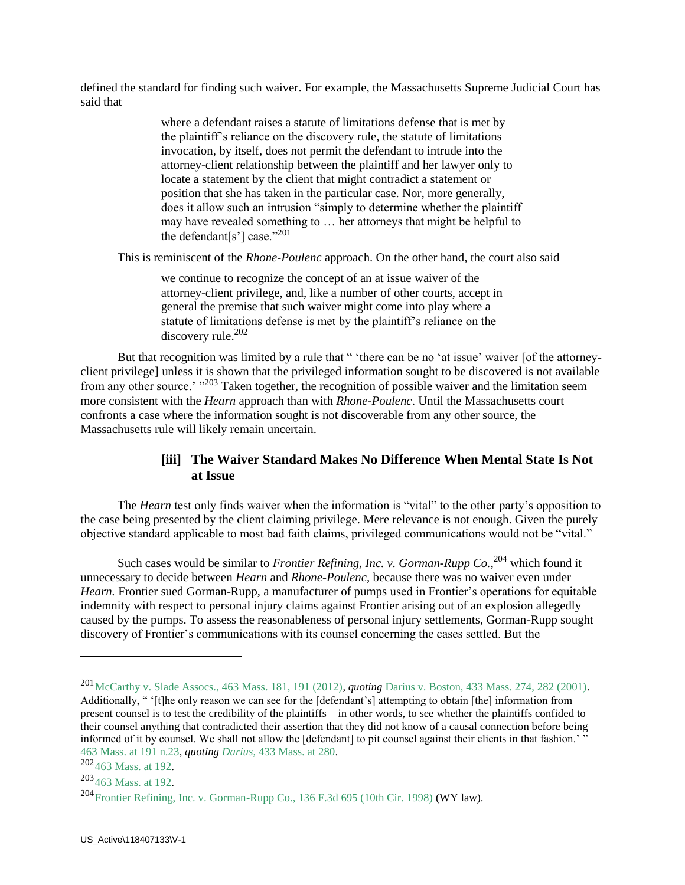defined the standard for finding such waiver. For example, the Massachusetts Supreme Judicial Court has said that

> where a defendant raises a statute of limitations defense that is met by the plaintiff's reliance on the discovery rule, the statute of limitations invocation, by itself, does not permit the defendant to intrude into the attorney-client relationship between the plaintiff and her lawyer only to locate a statement by the client that might contradict a statement or position that she has taken in the particular case. Nor, more generally, does it allow such an intrusion "simply to determine whether the plaintiff may have revealed something to … her attorneys that might be helpful to the defendant<sup>[s']</sup> case."<sup>201</sup>

This is reminiscent of the *Rhone-Poulenc* approach. On the other hand, the court also said

we continue to recognize the concept of an at issue waiver of the attorney-client privilege, and, like a number of other courts, accept in general the premise that such waiver might come into play where a statute of limitations defense is met by the plaintiff's reliance on the discovery rule. $202$ 

But that recognition was limited by a rule that " 'there can be no 'at issue' waiver [of the attorneyclient privilege] unless it is shown that the privileged information sought to be discovered is not available from any other source.' "<sup>203</sup> Taken together, the recognition of possible waiver and the limitation seem more consistent with the *Hearn* approach than with *Rhone-Poulenc*. Until the Massachusetts court confronts a case where the information sought is not discoverable from any other source, the Massachusetts rule will likely remain uncertain.

### **[iii] The Waiver Standard Makes No Difference When Mental State Is Not at Issue**

 The *Hearn* test only finds waiver when the information is "vital" to the other party's opposition to the case being presented by the client claiming privilege. Mere relevance is not enough. Given the purely objective standard applicable to most bad faith claims, privileged communications would not be "vital."

Such cases would be similar to *Frontier Refining, Inc. v. Gorman-Rupp Co.*,<sup>204</sup> which found it unnecessary to decide between *Hearn* and *Rhone-Poulenc,* because there was no waiver even under *Hearn.* Frontier sued Gorman-Rupp, a manufacturer of pumps used in Frontier's operations for equitable indemnity with respect to personal injury claims against Frontier arising out of an explosion allegedly caused by the pumps. To assess the reasonableness of personal injury settlements, Gorman-Rupp sought discovery of Frontier's communications with its counsel concerning the cases settled. But the

<sup>201</sup>McCarthy v. Slade Assocs., 463 Mass. 181, 191 (2012), *quoting* Darius v. Boston, 433 Mass. 274, 282 (2001). Additionally, " '[t]he only reason we can see for the [defendant's] attempting to obtain [the] information from present counsel is to test the credibility of the plaintiffs—in other words, to see whether the plaintiffs confided to their counsel anything that contradicted their assertion that they did not know of a causal connection before being informed of it by counsel. We shall not allow the  $\lceil$  defendant $\rceil$  to pit counsel against their clients in that fashion.<sup>'</sup> 463 Mass. at 191 n.23, *quoting Darius*, 433 Mass. at 280.

<sup>202</sup>463 Mass. at 192.

<sup>203</sup>463 Mass. at 192.

<sup>204</sup>Frontier Refining, Inc. v. Gorman-Rupp Co., 136 F.3d 695 (10th Cir. 1998) (WY law).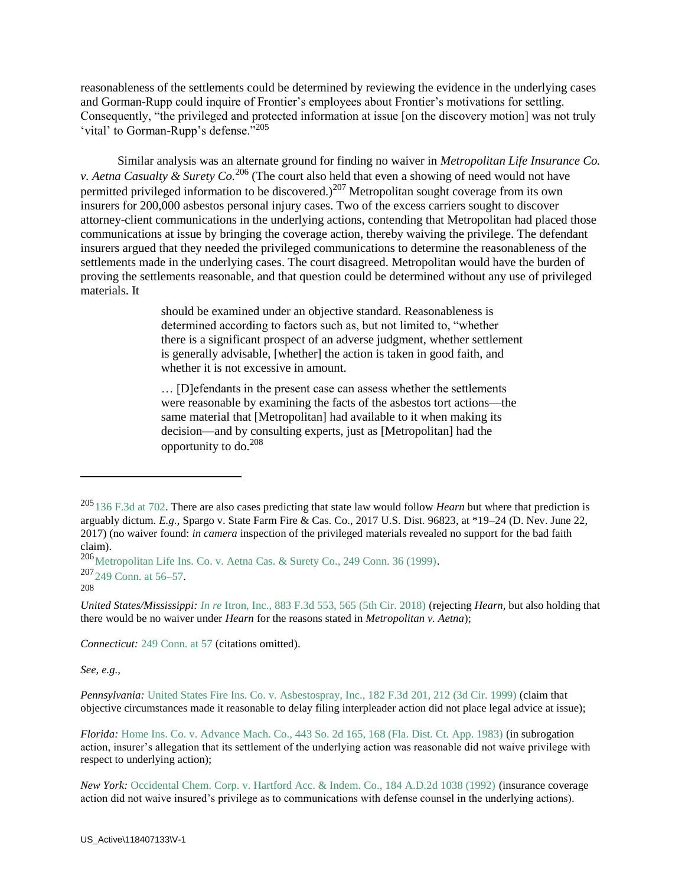reasonableness of the settlements could be determined by reviewing the evidence in the underlying cases and Gorman-Rupp could inquire of Frontier's employees about Frontier's motivations for settling. Consequently, "the privileged and protected information at issue [on the discovery motion] was not truly 'vital' to Gorman-Rupp's defense."<sup>205</sup>

 Similar analysis was an alternate ground for finding no waiver in *Metropolitan Life Insurance Co. v. Aetna Casualty & Surety Co.*<sup>206</sup> (The court also held that even a showing of need would not have permitted privileged information to be discovered.)<sup>207</sup> Metropolitan sought coverage from its own insurers for 200,000 asbestos personal injury cases. Two of the excess carriers sought to discover attorney-client communications in the underlying actions, contending that Metropolitan had placed those communications at issue by bringing the coverage action, thereby waiving the privilege. The defendant insurers argued that they needed the privileged communications to determine the reasonableness of the settlements made in the underlying cases. The court disagreed. Metropolitan would have the burden of proving the settlements reasonable, and that question could be determined without any use of privileged materials. It

> should be examined under an objective standard. Reasonableness is determined according to factors such as, but not limited to, "whether there is a significant prospect of an adverse judgment, whether settlement is generally advisable, [whether] the action is taken in good faith, and whether it is not excessive in amount.

… [D]efendants in the present case can assess whether the settlements were reasonable by examining the facts of the asbestos tort actions—the same material that [Metropolitan] had available to it when making its decision—and by consulting experts, just as [Metropolitan] had the opportunity to  $d_0$ <sup>208</sup>

208

 $\overline{a}$ 

*United States/Mississippi: In re* Itron, Inc., 883 F.3d 553, 565 (5th Cir. 2018) (rejecting *Hearn*, but also holding that there would be no waiver under *Hearn* for the reasons stated in *Metropolitan v. Aetna*);

*Connecticut:* 249 Conn. at 57 (citations omitted).

*See, e.g.,*

*Pennsylvania:* United States Fire Ins. Co. v. Asbestospray, Inc., 182 F.3d 201, 212 (3d Cir. 1999) (claim that objective circumstances made it reasonable to delay filing interpleader action did not place legal advice at issue);

*Florida:* Home Ins. Co. v. Advance Mach. Co., 443 So. 2d 165, 168 (Fla. Dist. Ct. App. 1983) (in subrogation action, insurer's allegation that its settlement of the underlying action was reasonable did not waive privilege with respect to underlying action);

<sup>205</sup>136 F.3d at 702. There are also cases predicting that state law would follow *Hearn* but where that prediction is arguably dictum. *E.g.,* Spargo v. State Farm Fire & Cas. Co., 2017 U.S. Dist. 96823, at \*19–24 (D. Nev. June 22, 2017) (no waiver found: *in camera* inspection of the privileged materials revealed no support for the bad faith claim).

<sup>206</sup> Metropolitan Life Ins. Co. v. Aetna Cas. & Surety Co., 249 Conn. 36 (1999). <sup>207</sup>249 Conn. at 56–57.

*New York:* Occidental Chem. Corp. v. Hartford Acc. & Indem. Co., 184 A.D.2d 1038 (1992) (insurance coverage action did not waive insured's privilege as to communications with defense counsel in the underlying actions).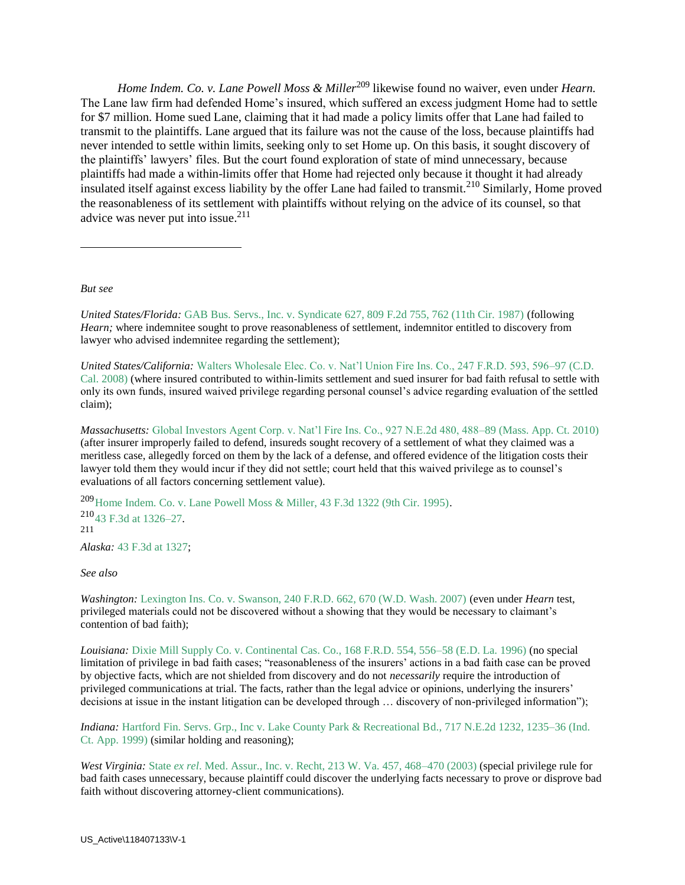*Home Indem. Co. v. Lane Powell Moss & Miller*<sup>209</sup> likewise found no waiver, even under *Hearn.* The Lane law firm had defended Home's insured, which suffered an excess judgment Home had to settle for \$7 million. Home sued Lane, claiming that it had made a policy limits offer that Lane had failed to transmit to the plaintiffs. Lane argued that its failure was not the cause of the loss, because plaintiffs had never intended to settle within limits, seeking only to set Home up. On this basis, it sought discovery of the plaintiffs' lawyers' files. But the court found exploration of state of mind unnecessary, because plaintiffs had made a within-limits offer that Home had rejected only because it thought it had already insulated itself against excess liability by the offer Lane had failed to transmit.<sup>210</sup> Similarly, Home proved the reasonableness of its settlement with plaintiffs without relying on the advice of its counsel, so that advice was never put into issue. $211$ 

*But see*

 $\overline{a}$ 

*United States/Florida:* GAB Bus. Servs., Inc. v. Syndicate 627, 809 F.2d 755, 762 (11th Cir. 1987) (following *Hearn;* where indemnitee sought to prove reasonableness of settlement, indemnitor entitled to discovery from lawyer who advised indemnitee regarding the settlement);

*United States/California:* Walters Wholesale Elec. Co. v. Nat'l Union Fire Ins. Co., 247 F.R.D. 593, 596–97 (C.D. Cal. 2008) (where insured contributed to within-limits settlement and sued insurer for bad faith refusal to settle with only its own funds, insured waived privilege regarding personal counsel's advice regarding evaluation of the settled claim);

*Massachusetts:* Global Investors Agent Corp. v. Nat'l Fire Ins. Co., 927 N.E.2d 480, 488–89 (Mass. App. Ct. 2010) (after insurer improperly failed to defend, insureds sought recovery of a settlement of what they claimed was a meritless case, allegedly forced on them by the lack of a defense, and offered evidence of the litigation costs their lawyer told them they would incur if they did not settle; court held that this waived privilege as to counsel's evaluations of all factors concerning settlement value).

<sup>209</sup>Home Indem. Co. v. Lane Powell Moss & Miller, 43 F.3d 1322 (9th Cir. 1995). <sup>210</sup>43 F.3d at 1326–27. 211

*Alaska:* 43 F.3d at 1327;

*See also*

*Washington:* Lexington Ins. Co. v. Swanson, 240 F.R.D. 662, 670 (W.D. Wash. 2007) (even under *Hearn* test, privileged materials could not be discovered without a showing that they would be necessary to claimant's contention of bad faith);

*Louisiana:* Dixie Mill Supply Co. v. Continental Cas. Co., 168 F.R.D. 554, 556–58 (E.D. La. 1996) (no special limitation of privilege in bad faith cases; "reasonableness of the insurers' actions in a bad faith case can be proved by objective facts, which are not shielded from discovery and do not *necessarily* require the introduction of privileged communications at trial. The facts, rather than the legal advice or opinions, underlying the insurers' decisions at issue in the instant litigation can be developed through ... discovery of non-privileged information");

*Indiana:* Hartford Fin. Servs. Grp., Inc v. Lake County Park & Recreational Bd., 717 N.E.2d 1232, 1235–36 (Ind. Ct. App. 1999) (similar holding and reasoning);

*West Virginia:* State *ex rel*. Med. Assur., Inc. v. Recht, 213 W. Va. 457, 468–470 (2003) (special privilege rule for bad faith cases unnecessary, because plaintiff could discover the underlying facts necessary to prove or disprove bad faith without discovering attorney-client communications).